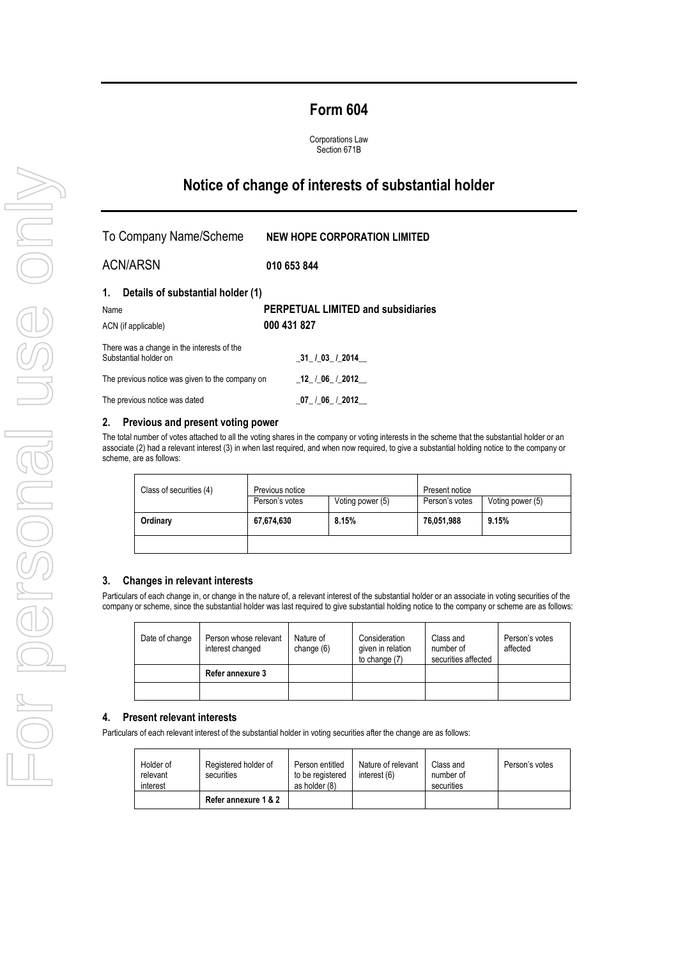## **Form 604**

Corporations Law Section 671B

# **Notice of change of interests of substantial holder**

| To Company Name/Scheme                                              | <b>NEW HOPE CORPORATION LIMITED</b>       |
|---------------------------------------------------------------------|-------------------------------------------|
| <b>ACN/ARSN</b>                                                     | 010 653 844                               |
| Details of substantial holder (1)<br>1.                             |                                           |
| Name                                                                | <b>PERPETUAL LIMITED and subsidiaries</b> |
| ACN (if applicable)                                                 | 000 431 827                               |
| There was a change in the interests of the<br>Substantial holder on | 31 / 03 / 2014                            |
| The previous notice was given to the company on                     | 12 / 06 / 2012                            |
| The previous notice was dated                                       | 07 / 06 / 2012                            |

### **2. Previous and present voting power**

The total number of votes attached to all the voting shares in the company or voting interests in the scheme that the substantial holder or an associate (2) had a relevant interest (3) in when last required, and when now required, to give a substantial holding notice to the company or scheme, are as follows:

| Class of securities (4) | Previous notice |                  | Present notice |                  |
|-------------------------|-----------------|------------------|----------------|------------------|
|                         | Person's votes  | Voting power (5) | Person's votes | Voting power (5) |
| Ordinary                | 67,674,630      | 8.15%            | 76,051,988     | 9.15%            |
|                         |                 |                  |                |                  |

#### **3. Changes in relevant interests**

Particulars of each change in, or change in the nature of, a relevant interest of the substantial holder or an associate in voting securities of the company or scheme, since the substantial holder was last required to give substantial holding notice to the company or scheme are as follows:

| Date of change | Person whose relevant<br>interest changed | Nature of<br>change $(6)$ | Consideration<br>given in relation<br>to change $(7)$ | Class and<br>number of<br>securities affected | Person's votes<br>affected |
|----------------|-------------------------------------------|---------------------------|-------------------------------------------------------|-----------------------------------------------|----------------------------|
|                | Refer annexure 3                          |                           |                                                       |                                               |                            |
|                |                                           |                           |                                                       |                                               |                            |

#### **4. Present relevant interests**

Particulars of each relevant interest of the substantial holder in voting securities after the change are as follows:

| Holder of<br>relevant<br>interest | Registered holder of<br>securities | Person entitled<br>to be registered<br>as holder (8) | Nature of relevant<br>interest (6) | Class and<br>number of<br>securities | Person's votes |
|-----------------------------------|------------------------------------|------------------------------------------------------|------------------------------------|--------------------------------------|----------------|
|                                   | Refer annexure 1 & 2               |                                                      |                                    |                                      |                |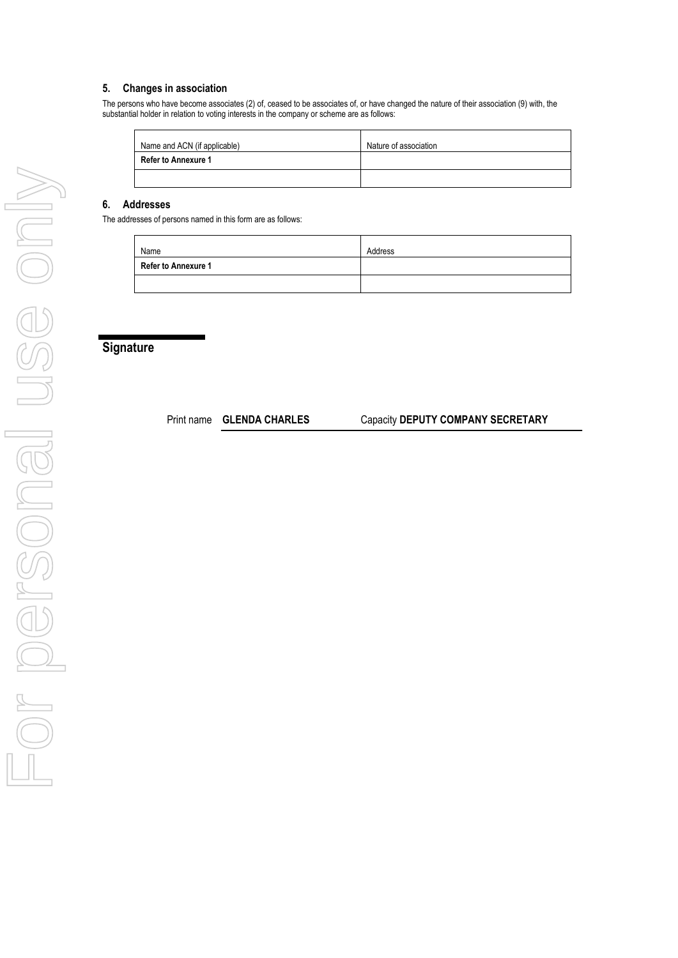### **5. Changes in association**

The persons who have become associates (2) of, ceased to be associates of, or have changed the nature of their association (9) with, the substantial holder in relation to voting interests in the company or scheme are as follows:

| Name and ACN (if applicable) | Nature of association |
|------------------------------|-----------------------|
| <b>Refer to Annexure 1</b>   |                       |
|                              |                       |

### **6. Addresses**

The addresses of persons named in this form are as follows:

| Name                       | Address |
|----------------------------|---------|
| <b>Refer to Annexure 1</b> |         |
|                            |         |

## **Signature**

Print name **GLENDA CHARLES** Capacity **DEPUTY COMPANY SECRETARY**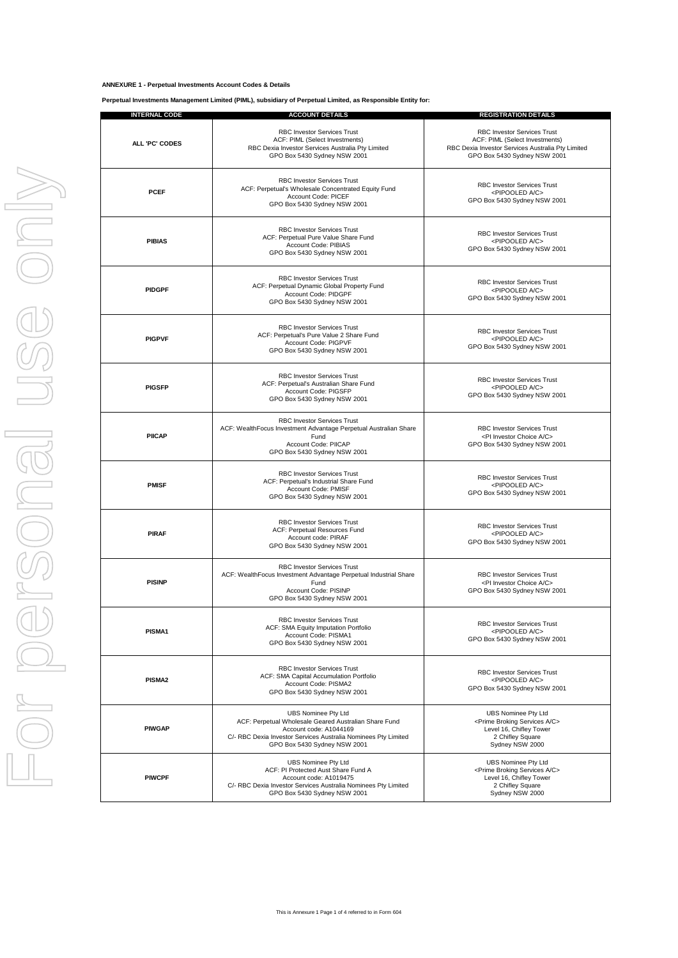#### **ANNEXURE 1 - Perpetual Investments Account Codes & Details**

**Perpetual Investments Management Limited (PIML), subsidiary of Perpetual Limited, as Responsible Entity for:**

| <b>INTERNAL CODE</b>  | <b>ACCOUNT DETAILS</b>                                                                                                                                                                                          | <b>REGISTRATION DETAILS</b>                                                                                                                         |
|-----------------------|-----------------------------------------------------------------------------------------------------------------------------------------------------------------------------------------------------------------|-----------------------------------------------------------------------------------------------------------------------------------------------------|
| <b>ALL 'PC' CODES</b> | RBC Investor Services Trust<br>ACF: PIML (Select Investments)<br>RBC Dexia Investor Services Australia Pty Limited<br>GPO Box 5430 Sydney NSW 2001                                                              | RBC Investor Services Trust<br>ACF: PIML (Select Investments)<br>RBC Dexia Investor Services Australia Pty Limited<br>GPO Box 5430 Sydney NSW 2001  |
| <b>PCEF</b>           | <b>RBC Investor Services Trust</b><br>ACF: Perpetual's Wholesale Concentrated Equity Fund<br>Account Code: PICEF<br>GPO Box 5430 Sydney NSW 2001                                                                | <b>RBC Investor Services Trust</b><br><pipooled a="" c=""><br/>GPO Box 5430 Sydney NSW 2001</pipooled>                                              |
| <b>PIBIAS</b>         | <b>RBC Investor Services Trust</b><br>ACF: Perpetual Pure Value Share Fund<br>Account Code: PIBIAS<br>GPO Box 5430 Sydney NSW 2001                                                                              | <b>RBC Investor Services Trust</b><br><pipooled a="" c=""><br/>GPO Box 5430 Sydney NSW 2001</pipooled>                                              |
| <b>PIDGPF</b>         | <b>RBC Investor Services Trust</b><br>ACF: Perpetual Dynamic Global Property Fund<br>Account Code: PIDGPF<br>GPO Box 5430 Sydney NSW 2001                                                                       | <b>RBC Investor Services Trust</b><br><pipooled a="" c=""><br/>GPO Box 5430 Sydney NSW 2001</pipooled>                                              |
| <b>PIGPVF</b>         | RBC Investor Services Trust<br>ACF: Perpetual's Pure Value 2 Share Fund<br>Account Code: PIGPVF<br>GPO Box 5430 Sydney NSW 2001                                                                                 | <b>RBC Investor Services Trust</b><br><pipooled a="" c=""><br/>GPO Box 5430 Sydney NSW 2001</pipooled>                                              |
| <b>PIGSFP</b>         | <b>RBC Investor Services Trust</b><br>ACF: Perpetual's Australian Share Fund<br>Account Code: PIGSFP<br>GPO Box 5430 Sydney NSW 2001                                                                            | <b>RBC Investor Services Trust</b><br><pipooled a="" c=""><br/>GPO Box 5430 Sydney NSW 2001</pipooled>                                              |
| <b>PIICAP</b>         | RBC Investor Services Trust<br>ACF: WealthFocus Investment Advantage Perpetual Australian Share<br>Fund<br>Account Code: PIICAP<br>GPO Box 5430 Sydney NSW 2001                                                 | <b>RBC Investor Services Trust</b><br><pi a="" c="" choice="" investor=""><br/>GPO Box 5430 Sydney NSW 2001</pi>                                    |
| <b>PMISF</b>          | <b>RBC Investor Services Trust</b><br>ACF: Perpetual's Industrial Share Fund<br>Account Code: PMISF<br>GPO Box 5430 Sydney NSW 2001                                                                             | RBC Investor Services Trust<br><pipooled a="" c=""><br/>GPO Box 5430 Sydney NSW 2001</pipooled>                                                     |
| <b>PIRAF</b>          | <b>RBC Investor Services Trust</b><br>ACF: Perpetual Resources Fund<br>Account code: PIRAF<br>GPO Box 5430 Sydney NSW 2001                                                                                      | <b>RBC Investor Services Trust</b><br><pipooled a="" c=""><br/>GPO Box 5430 Sydney NSW 2001</pipooled>                                              |
| <b>PISINP</b>         | <b>RBC Investor Services Trust</b><br>ACF: WealthFocus Investment Advantage Perpetual Industrial Share<br>Fund<br>Account Code: PISINP<br>GPO Box 5430 Sydney NSW 2001                                          | <b>RBC Investor Services Trust</b><br><pi a="" c="" choice="" investor=""><br/>GPO Box 5430 Sydney NSW 2001</pi>                                    |
| PISMA1                | RBC Investor Services Trust<br>ACF: SMA Equity Imputation Portfolio<br>Account Code: PISMA1<br>GPO Box 5430 Sydney NSW 2001                                                                                     | RBC Investor Services Trust<br><pipooled a="" c=""><br/>GPO Box 5430 Sydney NSW 2001</pipooled>                                                     |
| PISMA2                | <b>RBC Investor Services Trust</b><br>ACF: SMA Capital Accumulation Portfolio<br>Account Code: PISMA2<br>GPO Box 5430 Sydney NSW 2001                                                                           | RBC Investor Services Trust<br><pipooled a="" c=""><br/>GPO Box 5430 Sydney NSW 2001</pipooled>                                                     |
| <b>PIWGAP</b>         | <b>UBS Nominee Pty Ltd</b><br>ACF: Perpetual Wholesale Geared Australian Share Fund<br>Account code: A1044169<br>C/- RBC Dexia Investor Services Australia Nominees Pty Limited<br>GPO Box 5430 Sydney NSW 2001 | <b>UBS Nominee Pty Ltd</b><br><prime a="" broking="" c="" services=""><br/>Level 16, Chifley Tower<br/>2 Chifley Square<br/>Sydney NSW 2000</prime> |
| <b>PIWCPF</b>         | <b>UBS Nominee Pty Ltd</b><br>ACF: PI Protected Aust Share Fund A<br>Account code: A1019475<br>C/- RBC Dexia Investor Services Australia Nominees Pty Limited<br>GPO Box 5430 Sydney NSW 2001                   | <b>UBS Nominee Pty Ltd</b><br><prime a="" broking="" c="" services=""><br/>Level 16, Chifley Tower<br/>2 Chifley Square<br/>Sydney NSW 2000</prime> |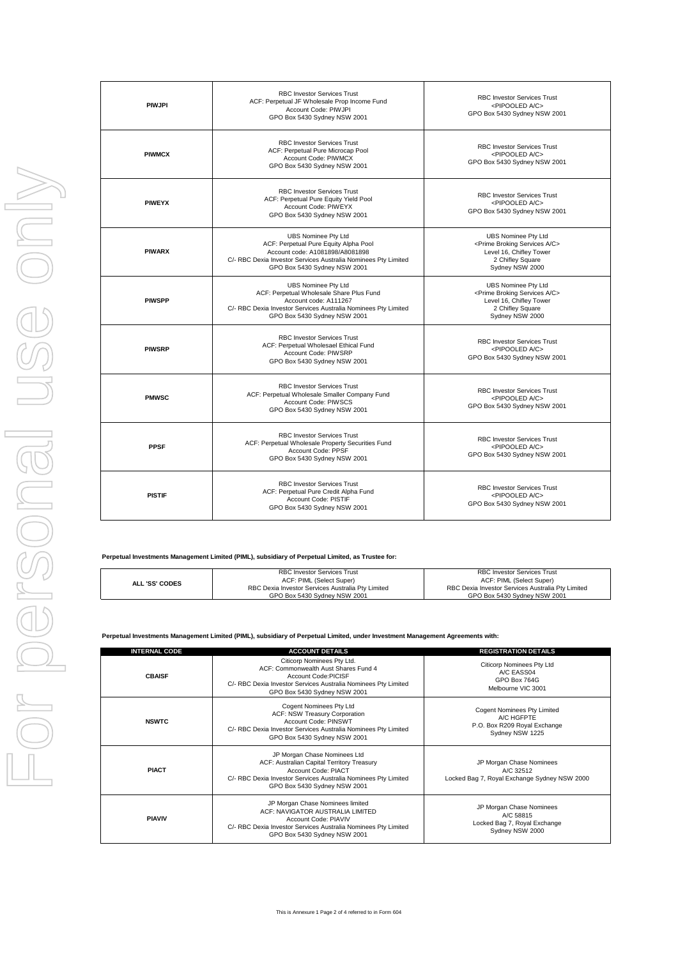| <b>PIWJPI</b> | <b>RBC Investor Services Trust</b><br>ACF: Perpetual JF Wholesale Prop Income Fund<br>Account Code: PIWJPI<br>GPO Box 5430 Sydney NSW 2001                                                               | <b>RBC Investor Services Trust</b><br><pipooled a="" c=""><br/>GPO Box 5430 Sydney NSW 2001</pipooled>                                              |
|---------------|----------------------------------------------------------------------------------------------------------------------------------------------------------------------------------------------------------|-----------------------------------------------------------------------------------------------------------------------------------------------------|
| <b>PIWMCX</b> | <b>RBC Investor Services Trust</b><br>ACF: Perpetual Pure Microcap Pool<br>Account Code: PIWMCX<br>GPO Box 5430 Sydney NSW 2001                                                                          | <b>RBC Investor Services Trust</b><br><pipooled a="" c=""><br/>GPO Box 5430 Sydney NSW 2001</pipooled>                                              |
| <b>PIWEYX</b> | <b>RBC Investor Services Trust</b><br>ACF: Perpetual Pure Equity Yield Pool<br>Account Code: PIWEYX<br>GPO Box 5430 Sydney NSW 2001                                                                      | <b>RBC Investor Services Trust</b><br><pipooled a="" c=""><br/>GPO Box 5430 Sydney NSW 2001</pipooled>                                              |
| <b>PIWARX</b> | <b>UBS Nominee Pty Ltd</b><br>ACF: Perpetual Pure Equity Alpha Pool<br>Account code: A1081898/A8081898<br>C/- RBC Dexia Investor Services Australia Nominees Pty Limited<br>GPO Box 5430 Sydney NSW 2001 | <b>UBS Nominee Pty Ltd</b><br><prime a="" broking="" c="" services=""><br/>Level 16, Chifley Tower<br/>2 Chifley Square<br/>Sydney NSW 2000</prime> |
| <b>PIWSPP</b> | <b>UBS Nominee Pty Ltd</b><br>ACF: Perpetual Wholesale Share Plus Fund<br>Account code: A111267<br>C/- RBC Dexia Investor Services Australia Nominees Pty Limited<br>GPO Box 5430 Sydney NSW 2001        | <b>UBS Nominee Pty Ltd</b><br><prime a="" broking="" c="" services=""><br/>Level 16, Chifley Tower<br/>2 Chifley Square<br/>Sydney NSW 2000</prime> |
| <b>PIWSRP</b> | <b>RBC Investor Services Trust</b><br>ACF: Perpetual Wholesael Ethical Fund<br>Account Code: PIWSRP<br>GPO Box 5430 Sydney NSW 2001                                                                      | <b>RBC Investor Services Trust</b><br><pipooled a="" c=""><br/>GPO Box 5430 Sydney NSW 2001</pipooled>                                              |
| <b>PMWSC</b>  | <b>RBC Investor Services Trust</b><br>ACF: Perpetual Wholesale Smaller Company Fund<br>Account Code: PIWSCS<br>GPO Box 5430 Sydney NSW 2001                                                              | <b>RBC Investor Services Trust</b><br><pipooled a="" c=""><br/>GPO Box 5430 Sydney NSW 2001</pipooled>                                              |
| <b>PPSF</b>   | <b>RBC Investor Services Trust</b><br>ACF: Perpetual Wholesale Property Securities Fund<br>Account Code: PPSF<br>GPO Box 5430 Sydney NSW 2001                                                            | <b>RBC Investor Services Trust</b><br><pipooled a="" c=""><br/>GPO Box 5430 Sydney NSW 2001</pipooled>                                              |
| <b>PISTIF</b> | <b>RBC Investor Services Trust</b><br>ACF: Perpetual Pure Credit Alpha Fund<br>Account Code: PISTIF<br>GPO Box 5430 Sydney NSW 2001                                                                      | <b>RBC Investor Services Trust</b><br><pipooled a="" c=""><br/>GPO Box 5430 Sydney NSW 2001</pipooled>                                              |

| Perpetual Investments Management Limited (PIML), subsidiary of Perpetual Limited, as Trustee for: |  |  |  |
|---------------------------------------------------------------------------------------------------|--|--|--|
|                                                                                                   |  |  |  |
|                                                                                                   |  |  |  |

|                       | RBC Investor Services Trust                       | <b>RBC Investor Services Trust</b>                |
|-----------------------|---------------------------------------------------|---------------------------------------------------|
| <b>ALL 'SS' CODES</b> | ACF: PIML (Select Super)                          | ACF: PIML (Select Super)                          |
|                       | RBC Dexia Investor Services Australia Pty Limited | RBC Dexia Investor Services Australia Pty Limited |
|                       | GPO Box 5430 Svdney NSW 2001                      | GPO Box 5430 Svdnev NSW 2001                      |

**Perpetual Investments Management Limited (PIML), subsidiary of Perpetual Limited, under Investment Management Agreements with:**

| <b>INTERNAL CODE</b> | <b>ACCOUNT DETAILS</b>                                                                                                                                                                              | <b>REGISTRATION DETAILS</b>                                                                         |
|----------------------|-----------------------------------------------------------------------------------------------------------------------------------------------------------------------------------------------------|-----------------------------------------------------------------------------------------------------|
| <b>CBAISF</b>        | Citicorp Nominees Pty Ltd.<br>ACF: Commonwealth Aust Shares Fund 4<br>Account Code:PICISE<br>C/- RBC Dexia Investor Services Australia Nominees Pty Limited<br>GPO Box 5430 Sydney NSW 2001         | Citicorp Nominees Pty Ltd<br>A/C EASS04<br>GPO Box 764G<br>Melbourne VIC 3001                       |
| <b>NSWTC</b>         | Cogent Nominees Pty Ltd<br>ACF: NSW Treasury Corporation<br>Account Code: PINSWT<br>C/- RBC Dexia Investor Services Australia Nominees Pty Limited<br>GPO Box 5430 Sydney NSW 2001                  | <b>Cogent Nominees Pty Limited</b><br>A/C HGFPTE<br>P.O. Box R209 Royal Exchange<br>Sydney NSW 1225 |
| <b>PIACT</b>         | JP Morgan Chase Nominees Ltd<br>ACF: Australian Capital Territory Treasury<br>Account Code: PIACT<br>C/- RBC Dexia Investor Services Australia Nominees Pty Limited<br>GPO Box 5430 Sydney NSW 2001 | JP Morgan Chase Nominees<br>A/C 32512<br>Locked Bag 7, Royal Exchange Sydney NSW 2000               |
| <b>PIAVIV</b>        | JP Morgan Chase Nominees limited<br>ACF: NAVIGATOR AUSTRALIA LIMITED<br>Account Code: PIAVIV<br>C/- RBC Dexia Investor Services Australia Nominees Pty Limited<br>GPO Box 5430 Sydney NSW 2001      | JP Morgan Chase Nominees<br>A/C 58815<br>Locked Bag 7, Royal Exchange<br>Sydney NSW 2000            |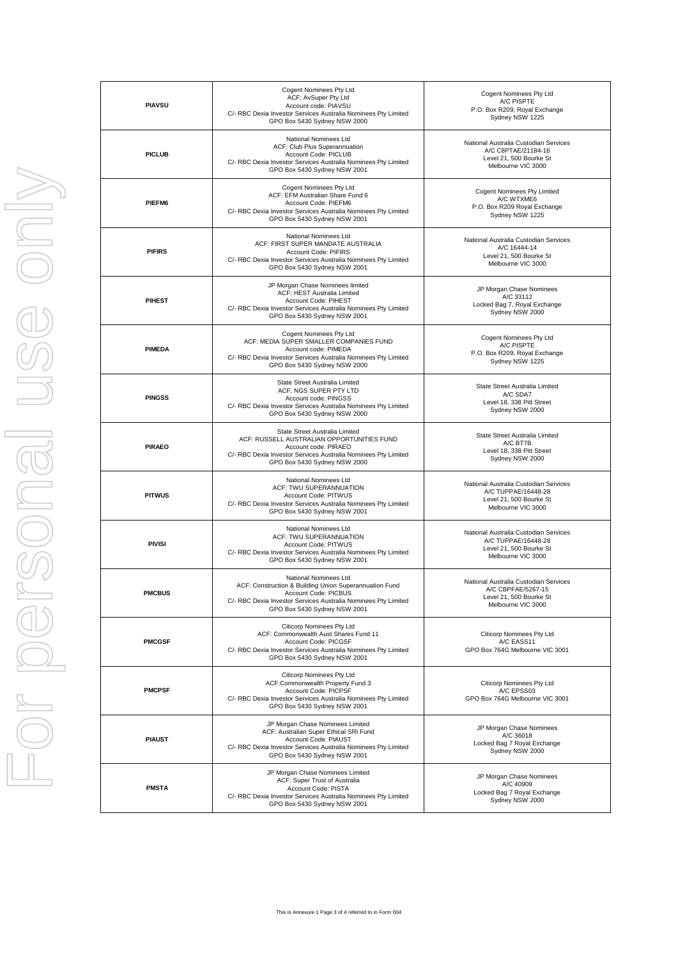| <b>PIAVSU</b> | Cogent Nominees Pty Ltd<br>ACF: AvSuper Pty Ltd<br>Account code: PIAVSU<br>C/- RBC Dexia Investor Services Australia Nominees Pty Limited<br>GPO Box 5430 Sydney NSW 2000                                 | Cogent Nominees Pty Ltd<br>A/C PISPTE<br>P.O. Box R209, Royal Exchange<br>Sydney NSW 1225                     |
|---------------|-----------------------------------------------------------------------------------------------------------------------------------------------------------------------------------------------------------|---------------------------------------------------------------------------------------------------------------|
| <b>PICLUB</b> | National Nominees Ltd<br>ACF: Club Plus Superannuation<br>Account Code: PICLUB<br>C/- RBC Dexia Investor Services Australia Nominees Pty Limited<br>GPO Box 5430 Sydney NSW 2001                          | National Australia Custodian Services<br>A/C C8PTAE/21184-16<br>Level 21, 500 Bourke St<br>Melbourne VIC 3000 |
| PIEFM6        | Cogent Nominees Pty Ltd<br>ACF: EFM Australian Share Fund 6<br>Account Code: PIEFM6<br>C/- RBC Dexia Investor Services Australia Nominees Pty Limited<br>GPO Box 5430 Sydney NSW 2001                     | Cogent Nominees Pty Limited<br>A/C WTXME6<br>P.O. Box R209 Royal Exchange<br>Sydney NSW 1225                  |
| <b>PIFIRS</b> | National Nominees Ltd<br>ACF: FIRST SUPER MANDATE AUSTRALIA<br>Account Code: PIFIRS<br>C/- RBC Dexia Investor Services Australia Nominees Pty Limited<br>GPO Box 5430 Sydney NSW 2001                     | National Australia Custodian Services<br>A/C 16444-14<br>Level 21, 500 Bourke St<br>Melbourne VIC 3000        |
| <b>PIHEST</b> | JP Morgan Chase Nominees limited<br>ACF: HEST Australia Limited<br>Account Code: PIHEST<br>C/- RBC Dexia Investor Services Australia Nominees Pty Limited<br>GPO Box 5430 Sydney NSW 2001                 | JP Morgan Chase Nominees<br>A/C 33112<br>Locked Bag 7, Royal Exchange<br>Sydney NSW 2000                      |
| <b>PIMEDA</b> | Cogent Nominees Pty Ltd<br>ACF: MEDIA SUPER SMALLER COMPANIES FUND<br>Account code: PIMEDA<br>C/- RBC Dexia Investor Services Australia Nominees Pty Limited<br>GPO Box 5430 Sydney NSW 2000              | Cogent Nominees Pty Ltd<br>A/C PISPTE<br>P.O. Box R209, Royal Exchange<br>Sydney NSW 1225                     |
| <b>PINGSS</b> | State Street Australia Limited<br>ACF: NGS SUPER PTY LTD<br>Account code: PINGSS<br>C/- RBC Dexia Investor Services Australia Nominees Pty Limited<br>GPO Box 5430 Sydney NSW 2000                        | State Street Australia Limited<br>A/C SDA7<br>Level 18, 338 Pitt Street<br>Sydney NSW 2000                    |
| <b>PIRAEO</b> | State Street Australia Limited<br>ACF: RUSSELL AUSTRALIAN OPPORTUNITIES FUND<br>Account code: PIRAEO<br>C/- RBC Dexia Investor Services Australia Nominees Pty Limited<br>GPO Box 5430 Sydney NSW 2000    | State Street Australia Limited<br>A/C BT7B<br>Level 18, 338 Pitt Street<br>Sydney NSW 2000                    |
| <b>PITWUS</b> | National Nominees Ltd<br>ACF: TWU SUPERANNUATION<br>Account Code: PITWUS<br>C/- RBC Dexia Investor Services Australia Nominees Pty Limited<br>GPO Box 5430 Sydney NSW 2001                                | National Australia Custodian Services<br>A/C TUPPAE/16448-28<br>Level 21, 500 Bourke St<br>Melbourne VIC 3000 |
| <b>PIVISI</b> | National Nominees Ltd<br>ACF: TWU SUPERANNUATION<br>Account Code: PITWUS<br>C/- RBC Dexia Investor Services Australia Nominees Pty Limited<br>GPO Box 5430 Sydney NSW 2001                                | National Australia Custodian Services<br>A/C TUPPAE/16448-28<br>Level 21, 500 Bourke St<br>Melbourne VIC 3000 |
| <b>PMCBUS</b> | National Nominees Ltd<br>ACF: Construction & Building Union Superannuation Fund<br>Account Code: PICBUS<br>C/- RBC Dexia Investor Services Australia Nominees Pty Limited<br>GPO Box 5430 Sydney NSW 2001 | National Australia Custodian Services<br>A/C CBPFAE/5267-15<br>Level 21, 500 Bourke St<br>Melbourne VIC 3000  |
| <b>PMCGSF</b> | Citicorp Nominees Pty Ltd<br>ACF: Commonwealth Aust Shares Fund 11<br>Account Code: PICGSF<br>C/- RBC Dexia Investor Services Australia Nominees Pty Limited<br>GPO Box 5430 Sydney NSW 2001              | Citicorp Nominees Pty Ltd<br>A/C EASS11<br>GPO Box 764G Melbourne VIC 3001                                    |
| <b>PMCPSF</b> | Citicorp Nominees Pty Ltd<br>ACF:Commonwealth Property Fund 3<br>Account Code: PICPSF<br>C/- RBC Dexia Investor Services Australia Nominees Pty Limited<br>GPO Box 5430 Sydney NSW 2001                   | Citicorp Nominees Pty Ltd<br>A/C EPSS03<br>GPO Box 764G Melbourne VIC 3001                                    |
| <b>PIAUST</b> | JP Morgan Chase Nominees Limited<br>ACF: Australian Super Ethical SRI Fund<br>Account Code: PIAUST<br>C/- RBC Dexia Investor Services Australia Nominees Pty Limited<br>GPO Box 5430 Sydney NSW 2001      | JP Morgan Chase Nominees<br>A/C 36018<br>Locked Bag 7 Royal Exchange<br>Sydney NSW 2000                       |
| <b>PMSTA</b>  | JP Morgan Chase Nominees Limited<br>ACF: Super Trust of Australia<br>Account Code: PISTA<br>C/- RBC Dexia Investor Services Australia Nominees Pty Limited<br>GPO Box 5430 Sydney NSW 2001                | JP Morgan Chase Nominees<br>A/C 40909<br>Locked Bag 7 Royal Exchange<br>Sydney NSW 2000                       |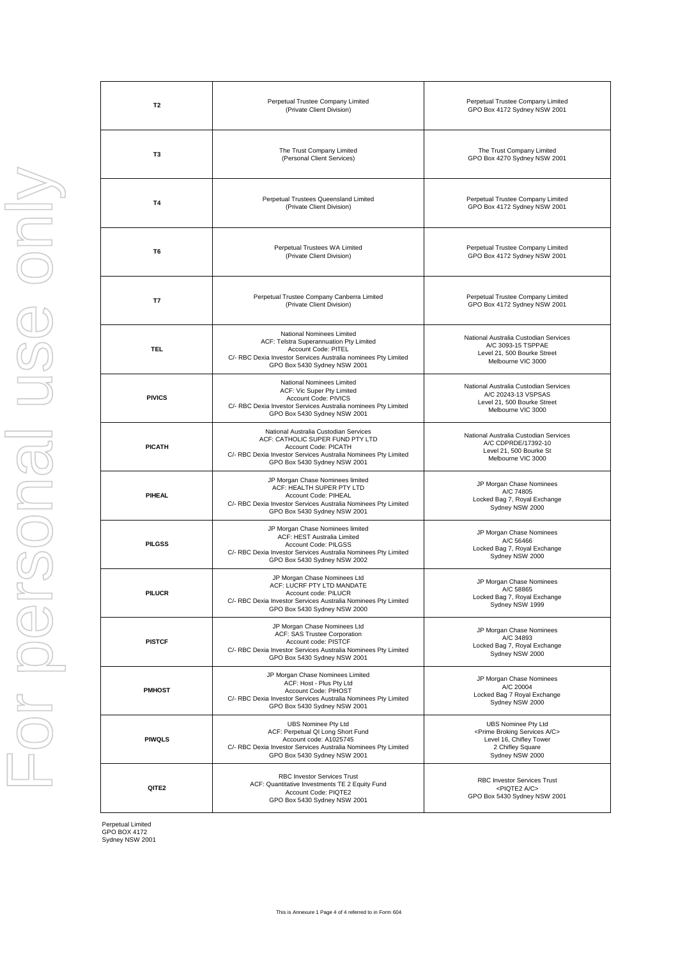| T <sub>2</sub> | Perpetual Trustee Company Limited<br>(Private Client Division)                                                                                                                                      | Perpetual Trustee Company Limited<br>GPO Box 4172 Sydney NSW 2001                                                                            |
|----------------|-----------------------------------------------------------------------------------------------------------------------------------------------------------------------------------------------------|----------------------------------------------------------------------------------------------------------------------------------------------|
| T3             | The Trust Company Limited<br>(Personal Client Services)                                                                                                                                             | The Trust Company Limited<br>GPO Box 4270 Sydney NSW 2001                                                                                    |
| T4             | Perpetual Trustees Queensland Limited<br>(Private Client Division)                                                                                                                                  | Perpetual Trustee Company Limited<br>GPO Box 4172 Sydney NSW 2001                                                                            |
| T <sub>6</sub> | Perpetual Trustees WA Limited<br>(Private Client Division)                                                                                                                                          | Perpetual Trustee Company Limited<br>GPO Box 4172 Sydney NSW 2001                                                                            |
| T7             | Perpetual Trustee Company Canberra Limited<br>(Private Client Division)                                                                                                                             | Perpetual Trustee Company Limited<br>GPO Box 4172 Sydney NSW 2001                                                                            |
| <b>TEL</b>     | National Nominees Limited<br>ACF: Telstra Superannuation Pty Limited<br>Account Code: PITEL<br>C/- RBC Dexia Investor Services Australia nominees Pty Limited<br>GPO Box 5430 Sydney NSW 2001       | National Australia Custodian Services<br>A/C 3093-15 TSPPAE<br>Level 21, 500 Bourke Street<br>Melbourne VIC 3000                             |
| <b>PIVICS</b>  | National Nominees Limited<br>ACF: Vic Super Pty Limited<br>Account Code: PIVICS<br>C/- RBC Dexia Investor Services Australia nominees Pty Limited<br>GPO Box 5430 Sydney NSW 2001                   | National Australia Custodian Services<br>A/C 20243-13 VSPSAS<br>Level 21, 500 Bourke Street<br>Melbourne VIC 3000                            |
| <b>PICATH</b>  | National Australia Custodian Services<br>ACF: CATHOLIC SUPER FUND PTY LTD<br>Account Code: PICATH<br>C/- RBC Dexia Investor Services Australia Nominees Pty Limited<br>GPO Box 5430 Sydney NSW 2001 | National Australia Custodian Services<br>A/C CDPRDE/17392-10<br>Level 21, 500 Bourke St<br>Melbourne VIC 3000                                |
| PIHEAL         | JP Morgan Chase Nominees limited<br>ACF: HEALTH SUPER PTY LTD<br>Account Code: PIHEAL<br>C/- RBC Dexia Investor Services Australia Nominees Pty Limited<br>GPO Box 5430 Sydney NSW 2001             | JP Morgan Chase Nominees<br>A/C 74805<br>Locked Bag 7, Royal Exchange<br>Sydney NSW 2000                                                     |
| <b>PILGSS</b>  | JP Morgan Chase Nominees limited<br>ACF: HEST Australia Limited<br>Account Code: PILGSS<br>C/- RBC Dexia Investor Services Australia Nominees Pty Limited<br>GPO Box 5430 Sydney NSW 2002           | JP Morgan Chase Nominees<br>A/C 56466<br>Locked Bag 7, Royal Exchange<br>Sydney NSW 2000                                                     |
| <b>PILUCR</b>  | JP Morgan Chase Nominees Ltd<br>ACF: LUCRF PTY LTD MANDATE<br>Account code: PILUCR<br>C/- RBC Dexia Investor Services Australia Nominees Pty Limited<br>GPO Box 5430 Sydney NSW 2000                | JP Morgan Chase Nominees<br>A/C 58865<br>Locked Bag 7, Royal Exchange<br>Sydney NSW 1999                                                     |
| <b>PISTCF</b>  | JP Morgan Chase Nominees Ltd<br>ACF: SAS Trustee Corporation<br>Account code: PISTCF<br>C/- RBC Dexia Investor Services Australia Nominees Pty Limited<br>GPO Box 5430 Sydney NSW 2001              | JP Morgan Chase Nominees<br>A/C 34893<br>Locked Bag 7, Royal Exchange<br>Sydney NSW 2000                                                     |
| <b>PMHOST</b>  | JP Morgan Chase Nominees Limited<br>ACF: Host - Plus Pty Ltd<br>Account Code: PIHOST<br>C/- RBC Dexia Investor Services Australia Nominees Pty Limited<br>GPO Box 5430 Sydney NSW 2001              | JP Morgan Chase Nominees<br>A/C 20004<br>Locked Bag 7 Royal Exchange<br>Sydney NSW 2000                                                      |
| <b>PIWQLS</b>  | <b>UBS Nominee Pty Ltd</b><br>ACF: Perpetual QI Long Short Fund<br>Account code: A1025745<br>C/- RBC Dexia Investor Services Australia Nominees Pty Limited<br>GPO Box 5430 Sydney NSW 2001         | UBS Nominee Pty Ltd<br><prime a="" broking="" c="" services=""><br/>Level 16, Chifley Tower<br/>2 Chifley Square<br/>Sydney NSW 2000</prime> |
| QITE2          | <b>RBC Investor Services Trust</b><br>ACF: Quantitative Investments TE 2 Equity Fund<br>Account Code: PIQTE2<br>GPO Box 5430 Sydney NSW 2001                                                        | <b>RBC Investor Services Trust</b><br><piqte2 a="" c=""><br/>GPO Box 5430 Sydney NSW 2001</piqte2>                                           |

ISE OND For personal use only 

Perpetual Limited GPO BOX 4172 Sydney NSW 2001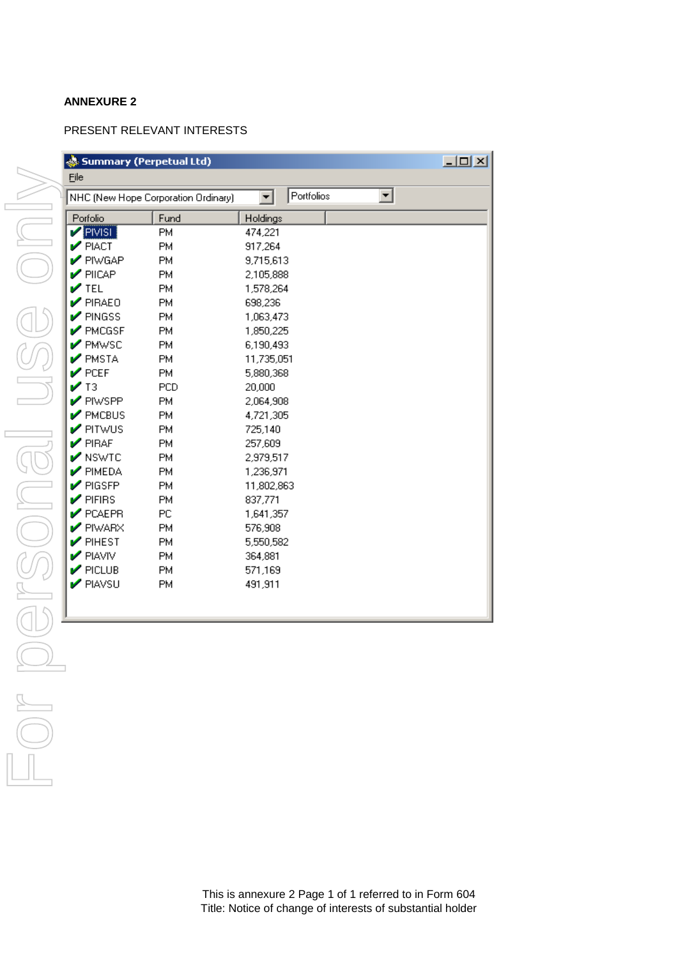## **ANNEXURE 2**

### PRESENT RELEVANT INTERESTS

|                                     | Summary (Perpetual Ltd) |                        | $\Box$ |
|-------------------------------------|-------------------------|------------------------|--------|
| Eile                                |                         |                        |        |
| NHC (New Hope Corporation Ordinary) |                         | Portfolios<br>▾▏<br>▾╎ |        |
| Porfolio                            | Fund                    | Holdings               |        |
| PIVISI                              | PM                      | 474,221                |        |
| $\triangleright$ PIACT              | PM                      | 917,264                |        |
| PIWGAP                              | PM                      | 9,715,613              |        |
| $\blacktriangleright$ PIICAP        | PM                      | 2,105,888              |        |
| $\mathcal{V}$ TEL                   | PM                      | 1,578,264              |        |
| $\triangledown$ PIRAEO              | PM                      | 698,236                |        |
| $\mathcal V$ PINGSS                 | PM                      | 1,063,473              |        |
| $\sqrt{\ }$ PMCGSF                  | <b>PM</b>               | 1,850,225              |        |
| <b>PMWSC</b>                        | <b>PM</b>               | 6,190,493              |        |
| $\blacktriangleright$ PMSTA         | <b>PM</b>               | 11,735,051             |        |
| $\triangleright$ PCEF               | <b>PM</b>               | 5,880,368              |        |
| $\mathcal{V}$ T3                    | <b>PCD</b>              | 20,000                 |        |
| $\mathcal V$ PIWSPP                 | PM                      | 2,064,908              |        |
| $\mathcal V$ PMCBUS                 | <b>PM</b>               | 4,721,305              |        |
| $\sqrt{\frac{P}{P}}$ PITWUS         | PM                      | 725,140                |        |
| $\mathcal V$ PIRAF                  | <b>PM</b>               | 257,609                |        |
| $\sqrt{\ }$ NSWTC                   | <b>PM</b>               | 2,979,517              |        |
| $\mathcal V$ PIMEDA                 | <b>PM</b>               | 1,236,971              |        |
| $\mathcal V$ PIGSFP                 | <b>PM</b>               | 11,802,863             |        |
| $\mathcal V$ PIFIRS                 | <b>PM</b>               | 837,771                |        |
| $\mathcal V$ PCAEPR                 | PC.                     | 1,641,357              |        |
| $\mathcal V$ PIWARX                 | <b>PM</b>               | 576,908                |        |
| $\mathcal V$ PIHEST                 | <b>PM</b>               | 5,550,582              |        |
| PIAVIV                              | <b>PM</b>               | 364,881                |        |
| $\mathcal V$ PICLUB                 | <b>PM</b>               | 571,169                |        |
| PIAVSU                              | <b>PM</b>               | 491,911                |        |
|                                     |                         |                        |        |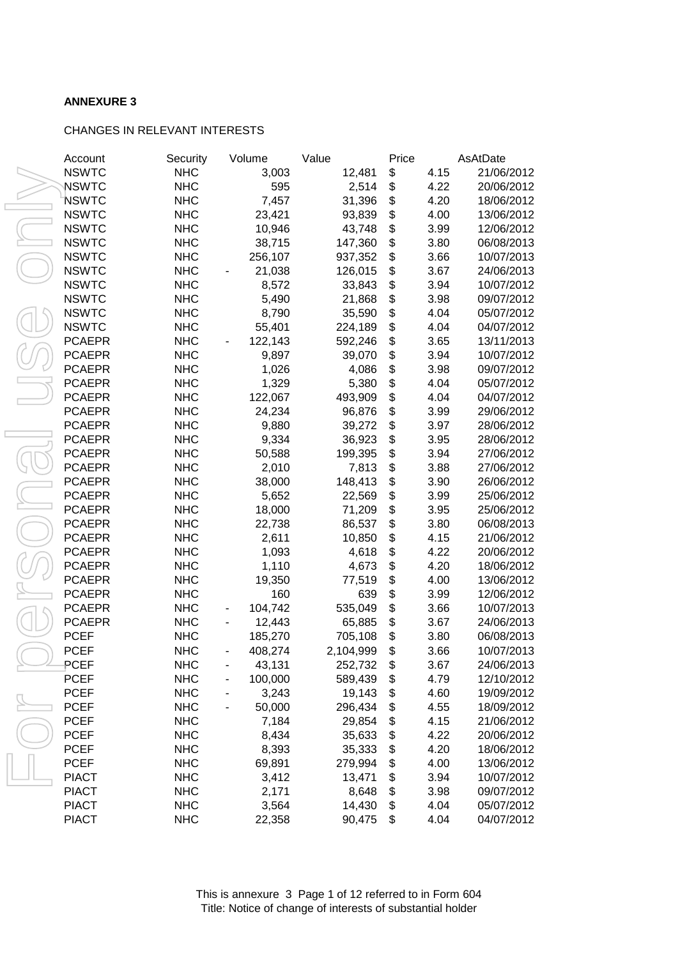## **ANNEXURE 3**

### CHANGES IN RELEVANT INTERESTS

| Account       | Security                 | Volume       | Value     | Price |      | AsAtDate   |
|---------------|--------------------------|--------------|-----------|-------|------|------------|
| <b>NSWTC</b>  | <b>NHC</b>               | 3,003        | 12,481    | \$    | 4.15 | 21/06/2012 |
| <b>NSWTC</b>  | <b>NHC</b>               | 595          | 2,514     | \$    | 4.22 | 20/06/2012 |
| NSWTC         | <b>NHC</b>               | 7,457        | 31,396    | \$    | 4.20 | 18/06/2012 |
| <b>NSWTC</b>  | <b>NHC</b>               | 23,421       | 93,839    | \$    | 4.00 | 13/06/2012 |
| <b>NSWTC</b>  | <b>NHC</b>               | 10,946       | 43,748    | \$    | 3.99 | 12/06/2012 |
| <b>NSWTC</b>  | <b>NHC</b>               | 38,715       | 147,360   | \$    | 3.80 | 06/08/2013 |
| <b>NSWTC</b>  | <b>NHC</b>               | 256,107      | 937,352   | \$    | 3.66 | 10/07/2013 |
| <b>NSWTC</b>  | <b>NHC</b>               | 21,038       | 126,015   | \$    | 3.67 | 24/06/2013 |
| <b>NSWTC</b>  | <b>NHC</b>               | 8,572        | 33,843    | \$    | 3.94 | 10/07/2012 |
| <b>NSWTC</b>  | <b>NHC</b>               | 5,490        | 21,868    | \$    | 3.98 | 09/07/2012 |
| <b>NSWTC</b>  | <b>NHC</b>               | 8,790        | 35,590    | \$    | 4.04 | 05/07/2012 |
| <b>NSWTC</b>  | <b>NHC</b>               | 55,401       | 224,189   | \$    | 4.04 | 04/07/2012 |
| <b>PCAEPR</b> | <b>NHC</b>               | 122,143      | 592,246   | \$    | 3.65 | 13/11/2013 |
| <b>PCAEPR</b> | <b>NHC</b>               | 9,897        | 39,070    | \$    | 3.94 | 10/07/2012 |
| <b>PCAEPR</b> | <b>NHC</b>               | 1,026        | 4,086     | \$    | 3.98 | 09/07/2012 |
| <b>PCAEPR</b> | <b>NHC</b>               | 1,329        | 5,380     | \$    | 4.04 | 05/07/2012 |
| PCAEPR        | <b>NHC</b>               | 122,067      | 493,909   | \$    | 4.04 | 04/07/2012 |
| PCAEPR        | <b>NHC</b>               | 24,234       | 96,876    | \$    | 3.99 | 29/06/2012 |
| <b>PCAEPR</b> | <b>NHC</b>               | 9,880        | 39,272    | \$    | 3.97 | 28/06/2012 |
| <b>PCAEPR</b> | <b>NHC</b>               | 9,334        | 36,923    | \$    | 3.95 | 28/06/2012 |
| <b>PCAEPR</b> | <b>NHC</b>               | 50,588       | 199,395   | \$    | 3.94 | 27/06/2012 |
| <b>PCAEPR</b> | <b>NHC</b>               | 2,010        | 7,813     | \$    | 3.88 | 27/06/2012 |
| <b>PCAEPR</b> | <b>NHC</b>               | 38,000       | 148,413   | \$    | 3.90 | 26/06/2012 |
| PCAEPR        | <b>NHC</b>               | 5,652        | 22,569    | \$    | 3.99 | 25/06/2012 |
| PCAEPR        | <b>NHC</b>               | 18,000       | 71,209    | \$    | 3.95 | 25/06/2012 |
| <b>PCAEPR</b> | <b>NHC</b>               | 22,738       | 86,537    | \$    | 3.80 | 06/08/2013 |
| <b>PCAEPR</b> | <b>NHC</b>               | 2,611        | 10,850    | \$    | 4.15 | 21/06/2012 |
| <b>PCAEPR</b> | <b>NHC</b>               | 1,093        | 4,618     | \$    | 4.22 | 20/06/2012 |
| <b>PCAEPR</b> | <b>NHC</b>               | 1,110        | 4,673     | \$    | 4.20 | 18/06/2012 |
| <b>PCAEPR</b> | <b>NHC</b>               | 19,350       | 77,519    | \$    | 4.00 | 13/06/2012 |
| <b>PCAEPR</b> | <b>NHC</b>               | 160          | 639       | \$    | 3.99 | 12/06/2012 |
| <b>PCAEPR</b> | <b>NHC</b>               |              |           | \$    | 3.66 | 10/07/2013 |
| <b>PCAEPR</b> | <b>NHC</b>               | 104,742      | 535,049   |       |      |            |
|               |                          | 12,443       | 65,885    | \$    | 3.67 | 24/06/2013 |
| PCEF          | <b>NHC</b><br><b>NHC</b> | 185,270      | 705,108   | \$    | 3.80 | 06/08/2013 |
| PCEF          |                          | 408,274      | 2,104,999 | \$    | 3.66 | 10/07/2013 |
| PCEF          | <b>NHC</b>               | 43,131       | 252,732   | \$    | 3.67 | 24/06/2013 |
| PCEF          | <b>NHC</b>               | 100,000<br>- | 589,439   | \$    | 4.79 | 12/10/2012 |
| PCEF          | <b>NHC</b>               | 3,243        | 19,143    | \$    | 4.60 | 19/09/2012 |
| PCEF          | <b>NHC</b>               | 50,000       | 296,434   | \$    | 4.55 | 18/09/2012 |
| PCEF          | <b>NHC</b>               | 7,184        | 29,854    | \$    | 4.15 | 21/06/2012 |
| PCEF          | <b>NHC</b>               | 8,434        | 35,633    | \$    | 4.22 | 20/06/2012 |
| <b>PCEF</b>   | <b>NHC</b>               | 8,393        | 35,333    | \$    | 4.20 | 18/06/2012 |
| PCEF          | <b>NHC</b>               | 69,891       | 279,994   | \$    | 4.00 | 13/06/2012 |
| <b>PIACT</b>  | <b>NHC</b>               | 3,412        | 13,471    | \$    | 3.94 | 10/07/2012 |
| <b>PIACT</b>  | <b>NHC</b>               | 2,171        | 8,648     | \$    | 3.98 | 09/07/2012 |
| <b>PIACT</b>  | <b>NHC</b>               | 3,564        | 14,430    | \$    | 4.04 | 05/07/2012 |
| <b>PIACT</b>  | <b>NHC</b>               | 22,358       | 90,475    | \$    | 4.04 | 04/07/2012 |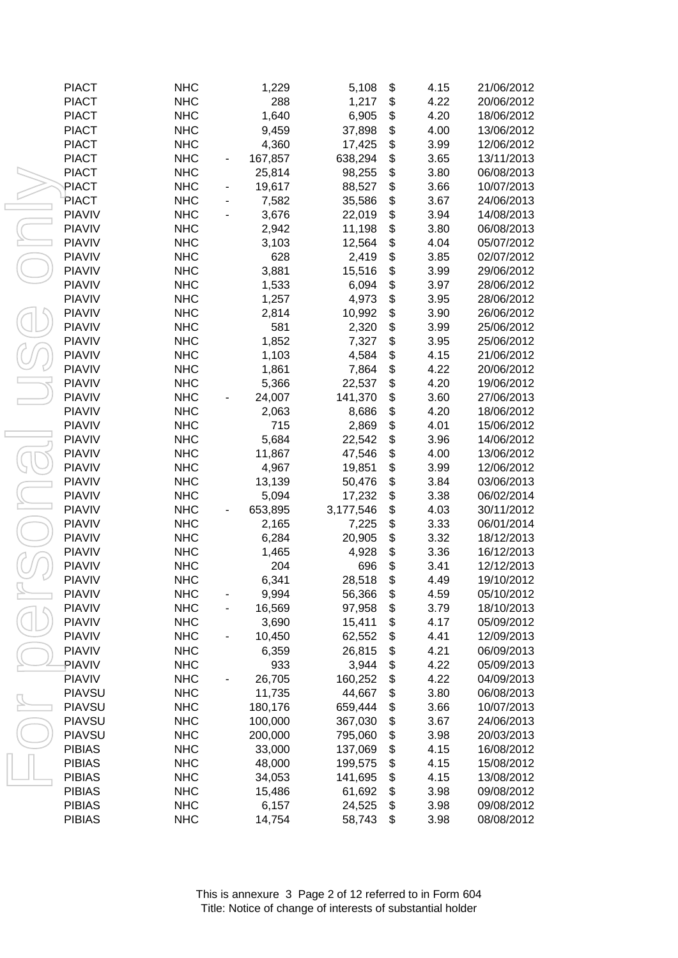| <b>PIACT</b>  | <b>NHC</b> | 1,229   | 5,108     | \$<br>4.15 | 21/06/2012 |
|---------------|------------|---------|-----------|------------|------------|
| <b>PIACT</b>  | <b>NHC</b> | 288     | 1,217     | \$<br>4.22 | 20/06/2012 |
| <b>PIACT</b>  | <b>NHC</b> | 1,640   | 6,905     | \$<br>4.20 | 18/06/2012 |
| <b>PIACT</b>  | <b>NHC</b> | 9,459   | 37,898    | \$<br>4.00 | 13/06/2012 |
| <b>PIACT</b>  | <b>NHC</b> | 4,360   | 17,425    | \$<br>3.99 | 12/06/2012 |
| <b>PIACT</b>  | <b>NHC</b> | 167,857 | 638,294   | \$<br>3.65 | 13/11/2013 |
| <b>PIACT</b>  | <b>NHC</b> | 25,814  | 98,255    | \$<br>3.80 | 06/08/2013 |
| PIACT         | <b>NHC</b> | 19,617  | 88,527    | \$<br>3.66 | 10/07/2013 |
| PIACT         | <b>NHC</b> | 7,582   | 35,586    | \$<br>3.67 | 24/06/2013 |
| <b>PIAVIV</b> | <b>NHC</b> | 3,676   | 22,019    | \$<br>3.94 | 14/08/2013 |
| <b>PIAVIV</b> | <b>NHC</b> | 2,942   | 11,198    | \$<br>3.80 | 06/08/2013 |
| <b>PIAVIV</b> | <b>NHC</b> | 3,103   | 12,564    | \$<br>4.04 | 05/07/2012 |
| <b>PIAVIV</b> | <b>NHC</b> | 628     | 2,419     | \$<br>3.85 | 02/07/2012 |
| <b>PIAVIV</b> | <b>NHC</b> | 3,881   | 15,516    | \$<br>3.99 | 29/06/2012 |
| <b>PIAVIV</b> | <b>NHC</b> | 1,533   | 6,094     | \$<br>3.97 | 28/06/2012 |
| <b>PIAVIV</b> | <b>NHC</b> | 1,257   | 4,973     | \$<br>3.95 | 28/06/2012 |
| <b>PIAVIV</b> | <b>NHC</b> | 2,814   | 10,992    | \$<br>3.90 | 26/06/2012 |
| <b>PIAVIV</b> | <b>NHC</b> | 581     | 2,320     | \$<br>3.99 | 25/06/2012 |
| <b>PIAVIV</b> | <b>NHC</b> | 1,852   | 7,327     | \$<br>3.95 | 25/06/2012 |
| <b>PIAVIV</b> | <b>NHC</b> | 1,103   | 4,584     | \$<br>4.15 | 21/06/2012 |
| <b>PIAVIV</b> | <b>NHC</b> | 1,861   | 7,864     | \$<br>4.22 | 20/06/2012 |
| <b>PIAVIV</b> | <b>NHC</b> | 5,366   | 22,537    | \$<br>4.20 | 19/06/2012 |
| <b>PIAVIV</b> | <b>NHC</b> | 24,007  | 141,370   | \$<br>3.60 | 27/06/2013 |
| <b>PIAVIV</b> | <b>NHC</b> | 2,063   | 8,686     | \$<br>4.20 | 18/06/2012 |
| <b>PIAVIV</b> | <b>NHC</b> | 715     | 2,869     | \$<br>4.01 | 15/06/2012 |
| <b>PIAVIV</b> | <b>NHC</b> | 5,684   | 22,542    | \$<br>3.96 | 14/06/2012 |
| <b>PIAVIV</b> | <b>NHC</b> | 11,867  | 47,546    | \$<br>4.00 | 13/06/2012 |
| <b>PIAVIV</b> | <b>NHC</b> | 4,967   | 19,851    | \$<br>3.99 | 12/06/2012 |
| <b>PIAVIV</b> | <b>NHC</b> | 13,139  | 50,476    | \$<br>3.84 | 03/06/2013 |
| <b>PIAVIV</b> | <b>NHC</b> | 5,094   | 17,232    | \$<br>3.38 | 06/02/2014 |
| <b>PIAVIV</b> | <b>NHC</b> | 653,895 | 3,177,546 | \$<br>4.03 | 30/11/2012 |
| <b>PIAVIV</b> | <b>NHC</b> | 2,165   | 7,225     | \$<br>3.33 | 06/01/2014 |
| <b>PIAVIV</b> | <b>NHC</b> | 6,284   | 20,905    | \$<br>3.32 | 18/12/2013 |
| <b>PIAVIV</b> | <b>NHC</b> | 1,465   | 4,928     | \$<br>3.36 | 16/12/2013 |
| <b>PIAVIV</b> | <b>NHC</b> | 204     | 696       | \$<br>3.41 | 12/12/2013 |
| <b>PIAVIV</b> | <b>NHC</b> | 6,341   | 28,518    | \$<br>4.49 | 19/10/2012 |
| <b>PIAVIV</b> | <b>NHC</b> | 9,994   | 56,366    | \$<br>4.59 | 05/10/2012 |
| <b>PIAVIV</b> | <b>NHC</b> | 16,569  | 97,958    | \$<br>3.79 | 18/10/2013 |
| <b>PIAVIV</b> | <b>NHC</b> | 3,690   | 15,411    | \$<br>4.17 | 05/09/2012 |
| <b>PIAVIV</b> | <b>NHC</b> | 10,450  | 62,552    | \$<br>4.41 | 12/09/2013 |
| <b>PIAVIV</b> | <b>NHC</b> | 6,359   | 26,815    | \$<br>4.21 | 06/09/2013 |
| PIAVIV        | <b>NHC</b> | 933     | 3,944     | \$<br>4.22 | 05/09/2013 |
| <b>PIAVIV</b> | <b>NHC</b> | 26,705  | 160,252   | \$<br>4.22 | 04/09/2013 |
| <b>PIAVSU</b> | <b>NHC</b> |         |           | \$<br>3.80 | 06/08/2013 |
| <b>PIAVSU</b> |            | 11,735  | 44,667    |            |            |
|               | <b>NHC</b> | 180,176 | 659,444   | \$<br>3.66 | 10/07/2013 |
| <b>PIAVSU</b> | <b>NHC</b> | 100,000 | 367,030   | \$<br>3.67 | 24/06/2013 |
| <b>PIAVSU</b> | <b>NHC</b> | 200,000 | 795,060   | \$<br>3.98 | 20/03/2013 |
| <b>PIBIAS</b> | <b>NHC</b> | 33,000  | 137,069   | \$<br>4.15 | 16/08/2012 |
| <b>PIBIAS</b> | <b>NHC</b> | 48,000  | 199,575   | \$<br>4.15 | 15/08/2012 |
| <b>PIBIAS</b> | <b>NHC</b> | 34,053  | 141,695   | \$<br>4.15 | 13/08/2012 |
| <b>PIBIAS</b> | <b>NHC</b> | 15,486  | 61,692    | \$<br>3.98 | 09/08/2012 |
| <b>PIBIAS</b> | <b>NHC</b> | 6,157   | 24,525    | \$<br>3.98 | 09/08/2012 |
| <b>PIBIAS</b> | <b>NHC</b> | 14,754  | 58,743    | \$<br>3.98 | 08/08/2012 |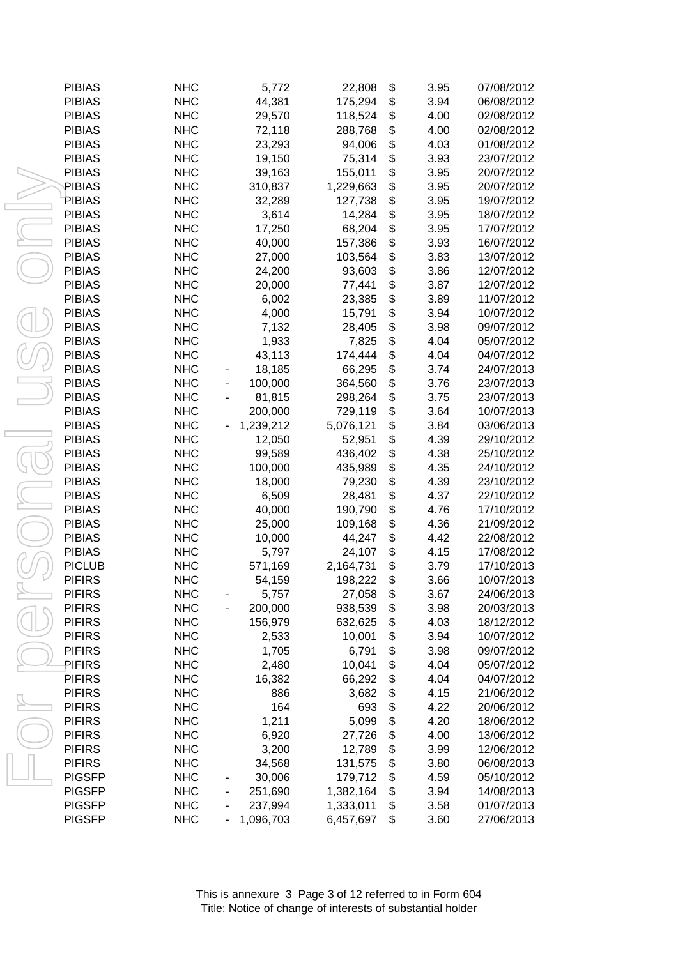| <b>PIBIAS</b> | <b>NHC</b> |                          | 5,772     | 22,808    | \$<br>3.95 | 07/08/2012 |
|---------------|------------|--------------------------|-----------|-----------|------------|------------|
| <b>PIBIAS</b> | <b>NHC</b> |                          | 44,381    | 175,294   | \$<br>3.94 | 06/08/2012 |
| <b>PIBIAS</b> | <b>NHC</b> |                          | 29,570    | 118,524   | \$<br>4.00 | 02/08/2012 |
| <b>PIBIAS</b> | <b>NHC</b> |                          | 72,118    | 288,768   | \$<br>4.00 | 02/08/2012 |
| <b>PIBIAS</b> | <b>NHC</b> |                          | 23,293    | 94,006    | \$<br>4.03 | 01/08/2012 |
| <b>PIBIAS</b> | <b>NHC</b> |                          | 19,150    | 75,314    | \$<br>3.93 | 23/07/2012 |
| <b>PIBIAS</b> | <b>NHC</b> |                          | 39,163    | 155,011   | \$<br>3.95 | 20/07/2012 |
| PIBIAS        | <b>NHC</b> |                          | 310,837   | 1,229,663 | \$<br>3.95 | 20/07/2012 |
| PIBIAS        | <b>NHC</b> |                          | 32,289    | 127,738   | \$<br>3.95 | 19/07/2012 |
| <b>PIBIAS</b> | <b>NHC</b> |                          | 3,614     | 14,284    | \$<br>3.95 | 18/07/2012 |
| <b>PIBIAS</b> | <b>NHC</b> |                          | 17,250    | 68,204    | \$<br>3.95 | 17/07/2012 |
| <b>PIBIAS</b> | <b>NHC</b> |                          | 40,000    | 157,386   | \$<br>3.93 | 16/07/2012 |
| <b>PIBIAS</b> | <b>NHC</b> |                          | 27,000    | 103,564   | \$<br>3.83 | 13/07/2012 |
| <b>PIBIAS</b> | <b>NHC</b> |                          | 24,200    | 93,603    | \$<br>3.86 | 12/07/2012 |
| <b>PIBIAS</b> | <b>NHC</b> |                          | 20,000    | 77,441    | \$<br>3.87 | 12/07/2012 |
| <b>PIBIAS</b> | <b>NHC</b> |                          | 6,002     | 23,385    | \$<br>3.89 | 11/07/2012 |
| <b>PIBIAS</b> | <b>NHC</b> |                          | 4,000     | 15,791    | \$<br>3.94 | 10/07/2012 |
| <b>PIBIAS</b> | <b>NHC</b> |                          | 7,132     | 28,405    | \$<br>3.98 | 09/07/2012 |
| <b>PIBIAS</b> | <b>NHC</b> |                          | 1,933     | 7,825     | \$<br>4.04 | 05/07/2012 |
| <b>PIBIAS</b> | <b>NHC</b> |                          | 43,113    | 174,444   | \$<br>4.04 | 04/07/2012 |
| <b>PIBIAS</b> | <b>NHC</b> |                          | 18,185    | 66,295    | \$<br>3.74 | 24/07/2013 |
| <b>PIBIAS</b> | <b>NHC</b> |                          | 100,000   | 364,560   | \$<br>3.76 | 23/07/2013 |
| <b>PIBIAS</b> | <b>NHC</b> |                          | 81,815    | 298,264   | \$<br>3.75 | 23/07/2013 |
| <b>PIBIAS</b> | <b>NHC</b> |                          | 200,000   | 729,119   | \$<br>3.64 | 10/07/2013 |
| <b>PIBIAS</b> | <b>NHC</b> |                          | 1,239,212 | 5,076,121 | \$<br>3.84 | 03/06/2013 |
| <b>PIBIAS</b> | <b>NHC</b> |                          | 12,050    | 52,951    | \$<br>4.39 | 29/10/2012 |
| <b>PIBIAS</b> | <b>NHC</b> |                          | 99,589    | 436,402   | \$<br>4.38 | 25/10/2012 |
| <b>PIBIAS</b> | <b>NHC</b> |                          | 100,000   | 435,989   | \$<br>4.35 | 24/10/2012 |
| <b>PIBIAS</b> | <b>NHC</b> |                          | 18,000    | 79,230    | \$<br>4.39 | 23/10/2012 |
| <b>PIBIAS</b> | <b>NHC</b> |                          | 6,509     | 28,481    | \$<br>4.37 | 22/10/2012 |
| <b>PIBIAS</b> | <b>NHC</b> |                          | 40,000    | 190,790   | \$<br>4.76 | 17/10/2012 |
| <b>PIBIAS</b> | <b>NHC</b> |                          | 25,000    | 109,168   | \$<br>4.36 | 21/09/2012 |
| <b>PIBIAS</b> | <b>NHC</b> |                          | 10,000    | 44,247    | \$<br>4.42 | 22/08/2012 |
| <b>PIBIAS</b> | <b>NHC</b> |                          | 5,797     | 24,107    | \$<br>4.15 | 17/08/2012 |
| <b>PICLUB</b> | <b>NHC</b> |                          | 571,169   | 2,164,731 | \$<br>3.79 | 17/10/2013 |
| <b>PIFIRS</b> | <b>NHC</b> |                          | 54,159    | 198,222   | \$<br>3.66 | 10/07/2013 |
| <b>PIFIRS</b> | <b>NHC</b> |                          | 5,757     | 27,058    | \$<br>3.67 | 24/06/2013 |
| <b>PIFIRS</b> | <b>NHC</b> |                          | 200,000   | 938,539   | \$<br>3.98 | 20/03/2013 |
| <b>PIFIRS</b> | <b>NHC</b> |                          | 156,979   | 632,625   | \$<br>4.03 | 18/12/2012 |
| <b>PIFIRS</b> | <b>NHC</b> |                          | 2,533     | 10,001    | \$<br>3.94 | 10/07/2012 |
| <b>PIFIRS</b> | <b>NHC</b> |                          | 1,705     | 6,791     | \$<br>3.98 | 09/07/2012 |
| PIFIRS        | <b>NHC</b> |                          | 2,480     | 10,041    | \$<br>4.04 | 05/07/2012 |
| <b>PIFIRS</b> | <b>NHC</b> |                          | 16,382    | 66,292    | \$<br>4.04 | 04/07/2012 |
| <b>PIFIRS</b> | <b>NHC</b> |                          | 886       | 3,682     | \$<br>4.15 | 21/06/2012 |
| <b>PIFIRS</b> | <b>NHC</b> |                          | 164       | 693       | \$<br>4.22 | 20/06/2012 |
| <b>PIFIRS</b> | <b>NHC</b> |                          | 1,211     | 5,099     | \$<br>4.20 | 18/06/2012 |
| <b>PIFIRS</b> | <b>NHC</b> |                          | 6,920     | 27,726    | \$<br>4.00 | 13/06/2012 |
| <b>PIFIRS</b> | <b>NHC</b> |                          | 3,200     | 12,789    | \$<br>3.99 | 12/06/2012 |
| <b>PIFIRS</b> | <b>NHC</b> |                          | 34,568    | 131,575   | \$<br>3.80 | 06/08/2013 |
| <b>PIGSFP</b> | <b>NHC</b> |                          | 30,006    | 179,712   | \$<br>4.59 | 05/10/2012 |
| <b>PIGSFP</b> | <b>NHC</b> | -                        | 251,690   | 1,382,164 | \$<br>3.94 | 14/08/2013 |
| <b>PIGSFP</b> | <b>NHC</b> | $\overline{\phantom{0}}$ | 237,994   | 1,333,011 | \$<br>3.58 | 01/07/2013 |
| <b>PIGSFP</b> | <b>NHC</b> | -                        | 1,096,703 | 6,457,697 | \$<br>3.60 | 27/06/2013 |
|               |            |                          |           |           |            |            |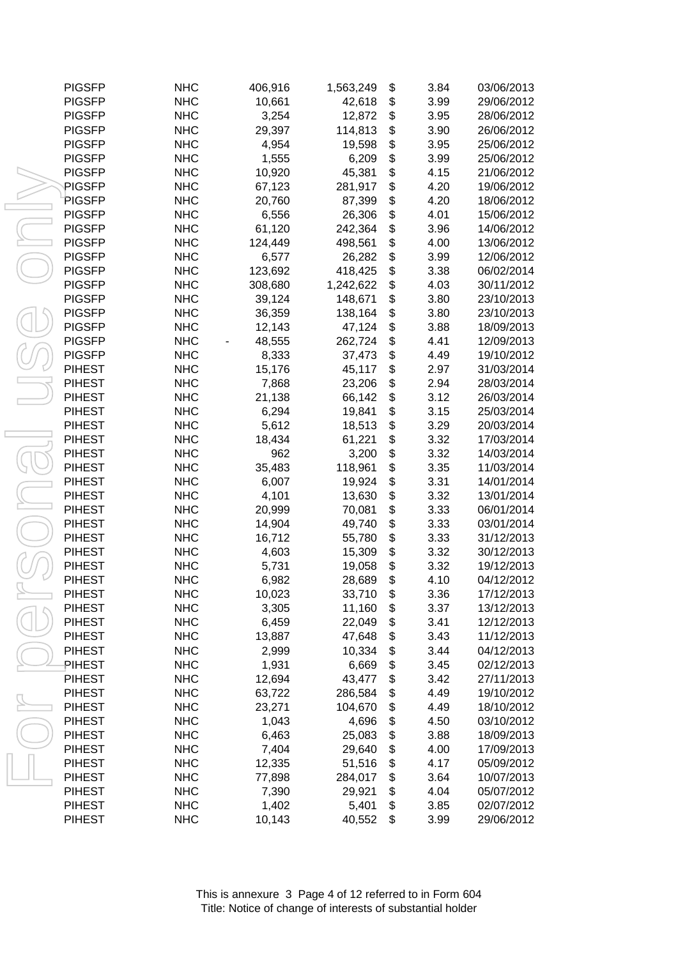| <b>PIGSFP</b> | <b>NHC</b> | 406,916 | 1,563,249 | \$<br>3.84 | 03/06/2013 |
|---------------|------------|---------|-----------|------------|------------|
| <b>PIGSFP</b> | <b>NHC</b> | 10,661  | 42,618    | \$<br>3.99 | 29/06/2012 |
| <b>PIGSFP</b> | <b>NHC</b> | 3,254   | 12,872    | \$<br>3.95 | 28/06/2012 |
| <b>PIGSFP</b> | <b>NHC</b> | 29,397  | 114,813   | \$<br>3.90 | 26/06/2012 |
| <b>PIGSFP</b> | <b>NHC</b> | 4,954   | 19,598    | \$<br>3.95 | 25/06/2012 |
| <b>PIGSFP</b> | <b>NHC</b> | 1,555   | 6,209     | \$<br>3.99 | 25/06/2012 |
| <b>PIGSFP</b> | <b>NHC</b> | 10,920  | 45,381    | \$<br>4.15 | 21/06/2012 |
| PIGSFP        | <b>NHC</b> | 67,123  | 281,917   | \$<br>4.20 | 19/06/2012 |
| PIGSFP        | <b>NHC</b> | 20,760  | 87,399    | \$<br>4.20 | 18/06/2012 |
| <b>PIGSFP</b> | <b>NHC</b> | 6,556   | 26,306    | \$<br>4.01 | 15/06/2012 |
| <b>PIGSFP</b> | <b>NHC</b> | 61,120  | 242,364   | \$<br>3.96 | 14/06/2012 |
| <b>PIGSFP</b> | <b>NHC</b> | 124,449 | 498,561   | \$<br>4.00 | 13/06/2012 |
| <b>PIGSFP</b> | <b>NHC</b> | 6,577   | 26,282    | \$<br>3.99 | 12/06/2012 |
| <b>PIGSFP</b> | <b>NHC</b> | 123,692 | 418,425   | \$<br>3.38 | 06/02/2014 |
| <b>PIGSFP</b> | <b>NHC</b> | 308,680 | 1,242,622 | \$<br>4.03 | 30/11/2012 |
| <b>PIGSFP</b> | <b>NHC</b> | 39,124  | 148,671   | \$<br>3.80 | 23/10/2013 |
| <b>PIGSFP</b> | <b>NHC</b> | 36,359  | 138,164   | \$<br>3.80 | 23/10/2013 |
| <b>PIGSFP</b> | <b>NHC</b> | 12,143  | 47,124    | \$<br>3.88 | 18/09/2013 |
| <b>PIGSFP</b> | <b>NHC</b> | 48,555  | 262,724   | \$<br>4.41 | 12/09/2013 |
| <b>PIGSFP</b> | <b>NHC</b> | 8,333   | 37,473    | \$<br>4.49 | 19/10/2012 |
| <b>PIHEST</b> | <b>NHC</b> | 15,176  | 45,117    | \$<br>2.97 | 31/03/2014 |
| <b>PIHEST</b> | <b>NHC</b> | 7,868   | 23,206    | \$<br>2.94 | 28/03/2014 |
| <b>PIHEST</b> | <b>NHC</b> | 21,138  | 66,142    | \$<br>3.12 | 26/03/2014 |
| <b>PIHEST</b> | <b>NHC</b> | 6,294   | 19,841    | \$<br>3.15 | 25/03/2014 |
| <b>PIHEST</b> | <b>NHC</b> | 5,612   | 18,513    | \$<br>3.29 | 20/03/2014 |
| <b>PIHEST</b> | <b>NHC</b> | 18,434  | 61,221    | \$<br>3.32 | 17/03/2014 |
| <b>PIHEST</b> | <b>NHC</b> | 962     | 3,200     | \$<br>3.32 | 14/03/2014 |
| <b>PIHEST</b> | <b>NHC</b> | 35,483  | 118,961   | \$<br>3.35 | 11/03/2014 |
| <b>PIHEST</b> | <b>NHC</b> | 6,007   | 19,924    | \$<br>3.31 | 14/01/2014 |
| <b>PIHEST</b> | <b>NHC</b> | 4,101   | 13,630    | \$<br>3.32 | 13/01/2014 |
| <b>PIHEST</b> | <b>NHC</b> | 20,999  | 70,081    | \$<br>3.33 | 06/01/2014 |
| <b>PIHEST</b> | <b>NHC</b> | 14,904  | 49,740    | \$<br>3.33 | 03/01/2014 |
| <b>PIHEST</b> | <b>NHC</b> | 16,712  | 55,780    | \$<br>3.33 | 31/12/2013 |
| <b>PIHEST</b> | <b>NHC</b> | 4,603   | 15,309    | \$<br>3.32 | 30/12/2013 |
| <b>PIHEST</b> | <b>NHC</b> | 5,731   | 19,058    | \$<br>3.32 | 19/12/2013 |
| <b>PIHEST</b> | <b>NHC</b> | 6,982   | 28,689    | \$<br>4.10 | 04/12/2012 |
| <b>PIHEST</b> | <b>NHC</b> | 10,023  | 33,710    | \$<br>3.36 | 17/12/2013 |
| <b>PIHEST</b> | <b>NHC</b> | 3,305   | 11,160    | \$<br>3.37 | 13/12/2013 |
| <b>PIHEST</b> | <b>NHC</b> | 6,459   | 22,049    | \$<br>3.41 | 12/12/2013 |
| <b>PIHEST</b> | <b>NHC</b> | 13,887  | 47,648    | \$<br>3.43 | 11/12/2013 |
| <b>PIHEST</b> | <b>NHC</b> | 2,999   | 10,334    | \$<br>3.44 | 04/12/2013 |
| PIHEST        | <b>NHC</b> | 1,931   | 6,669     | \$<br>3.45 | 02/12/2013 |
| <b>PIHEST</b> | <b>NHC</b> | 12,694  | 43,477    | \$<br>3.42 | 27/11/2013 |
| <b>PIHEST</b> | <b>NHC</b> | 63,722  | 286,584   | \$<br>4.49 | 19/10/2012 |
| <b>PIHEST</b> | <b>NHC</b> | 23,271  | 104,670   | \$<br>4.49 | 18/10/2012 |
| <b>PIHEST</b> | <b>NHC</b> | 1,043   | 4,696     | \$<br>4.50 | 03/10/2012 |
| <b>PIHEST</b> | <b>NHC</b> | 6,463   | 25,083    | \$<br>3.88 | 18/09/2013 |
| <b>PIHEST</b> | <b>NHC</b> | 7,404   | 29,640    | \$<br>4.00 | 17/09/2013 |
| <b>PIHEST</b> | <b>NHC</b> | 12,335  | 51,516    | \$<br>4.17 | 05/09/2012 |
| <b>PIHEST</b> | <b>NHC</b> | 77,898  | 284,017   | \$<br>3.64 | 10/07/2013 |
| <b>PIHEST</b> | <b>NHC</b> | 7,390   | 29,921    | \$<br>4.04 | 05/07/2012 |
| <b>PIHEST</b> | <b>NHC</b> | 1,402   | 5,401     | \$<br>3.85 | 02/07/2012 |
| <b>PIHEST</b> | <b>NHC</b> | 10,143  | 40,552    | \$<br>3.99 | 29/06/2012 |
|               |            |         |           |            |            |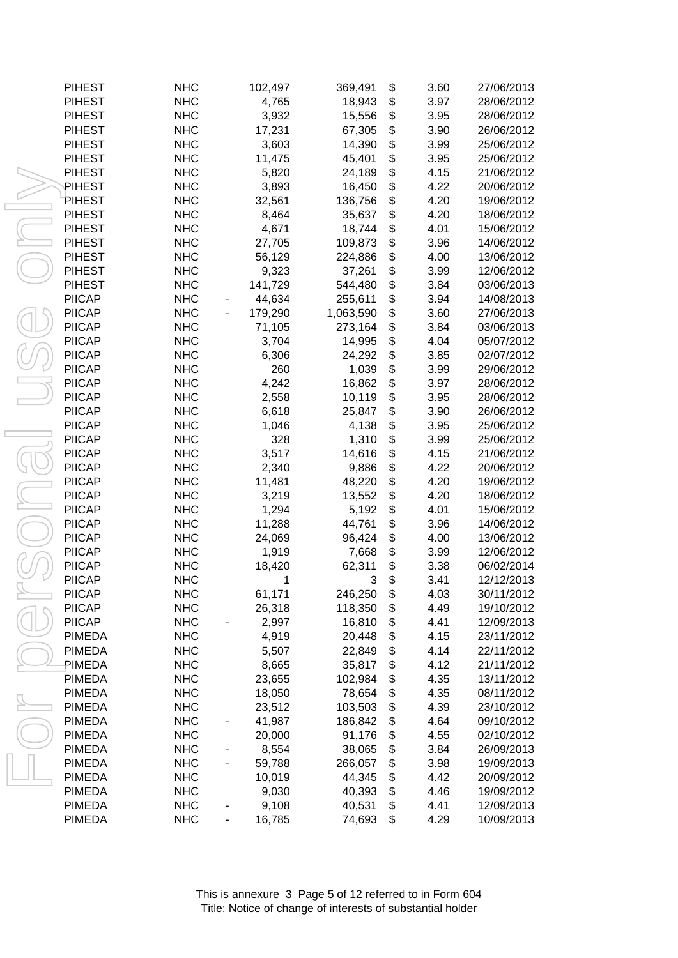| <b>PIHEST</b> | <b>NHC</b> |   | 102,497 | 369,491   | \$<br>3.60 | 27/06/2013 |
|---------------|------------|---|---------|-----------|------------|------------|
| <b>PIHEST</b> | <b>NHC</b> |   | 4,765   | 18,943    | \$<br>3.97 | 28/06/2012 |
| <b>PIHEST</b> | <b>NHC</b> |   | 3,932   | 15,556    | \$<br>3.95 | 28/06/2012 |
| <b>PIHEST</b> | <b>NHC</b> |   | 17,231  | 67,305    | \$<br>3.90 | 26/06/2012 |
| <b>PIHEST</b> | <b>NHC</b> |   | 3,603   | 14,390    | \$<br>3.99 | 25/06/2012 |
| <b>PIHEST</b> | <b>NHC</b> |   | 11,475  | 45,401    | \$<br>3.95 | 25/06/2012 |
| <b>PIHEST</b> | <b>NHC</b> |   | 5,820   | 24,189    | \$<br>4.15 | 21/06/2012 |
| PIHEST        | <b>NHC</b> |   | 3,893   | 16,450    | \$<br>4.22 | 20/06/2012 |
| PIHEST        | <b>NHC</b> |   | 32,561  | 136,756   | \$<br>4.20 | 19/06/2012 |
| <b>PIHEST</b> | <b>NHC</b> |   | 8,464   | 35,637    | \$<br>4.20 | 18/06/2012 |
| <b>PIHEST</b> | <b>NHC</b> |   | 4,671   | 18,744    | \$<br>4.01 | 15/06/2012 |
| <b>PIHEST</b> | <b>NHC</b> |   | 27,705  | 109,873   | \$<br>3.96 | 14/06/2012 |
| <b>PIHEST</b> | <b>NHC</b> |   | 56,129  | 224,886   | \$<br>4.00 | 13/06/2012 |
| <b>PIHEST</b> | <b>NHC</b> |   | 9,323   | 37,261    | \$<br>3.99 | 12/06/2012 |
| <b>PIHEST</b> | <b>NHC</b> |   | 141,729 | 544,480   | \$<br>3.84 | 03/06/2013 |
| <b>PIICAP</b> | <b>NHC</b> |   | 44,634  | 255,611   | \$<br>3.94 | 14/08/2013 |
| <b>PIICAP</b> | <b>NHC</b> |   | 179,290 | 1,063,590 | \$<br>3.60 | 27/06/2013 |
| <b>PIICAP</b> | <b>NHC</b> |   | 71,105  | 273,164   | \$<br>3.84 | 03/06/2013 |
| <b>PIICAP</b> | <b>NHC</b> |   | 3,704   | 14,995    | \$<br>4.04 | 05/07/2012 |
| <b>PIICAP</b> | <b>NHC</b> |   | 6,306   | 24,292    | \$<br>3.85 | 02/07/2012 |
| <b>PIICAP</b> | <b>NHC</b> |   | 260     | 1,039     | \$<br>3.99 | 29/06/2012 |
| <b>PIICAP</b> | <b>NHC</b> |   | 4,242   | 16,862    | \$<br>3.97 | 28/06/2012 |
| <b>PIICAP</b> | <b>NHC</b> |   | 2,558   | 10,119    | \$<br>3.95 | 28/06/2012 |
| <b>PIICAP</b> | <b>NHC</b> |   | 6,618   | 25,847    | \$<br>3.90 | 26/06/2012 |
| <b>PIICAP</b> | <b>NHC</b> |   | 1,046   | 4,138     | \$<br>3.95 | 25/06/2012 |
| <b>PIICAP</b> | <b>NHC</b> |   | 328     | 1,310     | \$<br>3.99 | 25/06/2012 |
| <b>PIICAP</b> | <b>NHC</b> |   | 3,517   | 14,616    | \$<br>4.15 | 21/06/2012 |
| <b>PIICAP</b> | <b>NHC</b> |   | 2,340   | 9,886     | \$<br>4.22 | 20/06/2012 |
| <b>PIICAP</b> | <b>NHC</b> |   | 11,481  | 48,220    | \$<br>4.20 | 19/06/2012 |
| <b>PIICAP</b> | <b>NHC</b> |   | 3,219   | 13,552    | \$<br>4.20 | 18/06/2012 |
| <b>PIICAP</b> | <b>NHC</b> |   | 1,294   | 5,192     | \$<br>4.01 | 15/06/2012 |
| <b>PIICAP</b> | <b>NHC</b> |   | 11,288  | 44,761    | \$<br>3.96 | 14/06/2012 |
| <b>PIICAP</b> | <b>NHC</b> |   | 24,069  | 96,424    | \$<br>4.00 | 13/06/2012 |
| <b>PIICAP</b> | <b>NHC</b> |   | 1,919   | 7,668     | \$<br>3.99 | 12/06/2012 |
| <b>PIICAP</b> | <b>NHC</b> |   | 18,420  | 62,311    | \$<br>3.38 | 06/02/2014 |
| <b>PIICAP</b> | <b>NHC</b> |   | 1       | 3         | \$<br>3.41 | 12/12/2013 |
| <b>PIICAP</b> | <b>NHC</b> |   | 61,171  | 246,250   | \$<br>4.03 | 30/11/2012 |
| <b>PIICAP</b> | <b>NHC</b> |   | 26,318  | 118,350   | \$<br>4.49 | 19/10/2012 |
| <b>PIICAP</b> | <b>NHC</b> |   | 2,997   | 16,810    | \$<br>4.41 | 12/09/2013 |
| <b>PIMEDA</b> | <b>NHC</b> |   | 4,919   | 20,448    | \$<br>4.15 | 23/11/2012 |
| <b>PIMEDA</b> | <b>NHC</b> |   | 5,507   | 22,849    | \$<br>4.14 | 22/11/2012 |
| PIMEDA        | <b>NHC</b> |   | 8,665   | 35,817    | \$<br>4.12 | 21/11/2012 |
| <b>PIMEDA</b> | <b>NHC</b> |   | 23,655  | 102,984   | \$<br>4.35 | 13/11/2012 |
| <b>PIMEDA</b> | <b>NHC</b> |   | 18,050  | 78,654    | \$<br>4.35 | 08/11/2012 |
| <b>PIMEDA</b> | <b>NHC</b> |   | 23,512  | 103,503   | \$<br>4.39 | 23/10/2012 |
| <b>PIMEDA</b> | <b>NHC</b> |   | 41,987  | 186,842   | \$<br>4.64 | 09/10/2012 |
| <b>PIMEDA</b> | <b>NHC</b> |   | 20,000  | 91,176    | \$<br>4.55 | 02/10/2012 |
| <b>PIMEDA</b> | <b>NHC</b> | - | 8,554   | 38,065    | \$<br>3.84 | 26/09/2013 |
| <b>PIMEDA</b> | <b>NHC</b> |   | 59,788  | 266,057   | \$<br>3.98 | 19/09/2013 |
| <b>PIMEDA</b> | <b>NHC</b> |   | 10,019  | 44,345    | \$<br>4.42 | 20/09/2012 |
| <b>PIMEDA</b> | <b>NHC</b> |   | 9,030   | 40,393    | \$<br>4.46 | 19/09/2012 |
| <b>PIMEDA</b> | <b>NHC</b> |   | 9,108   | 40,531    | \$<br>4.41 | 12/09/2013 |
| <b>PIMEDA</b> | <b>NHC</b> | ۰ | 16,785  | 74,693    | \$<br>4.29 | 10/09/2013 |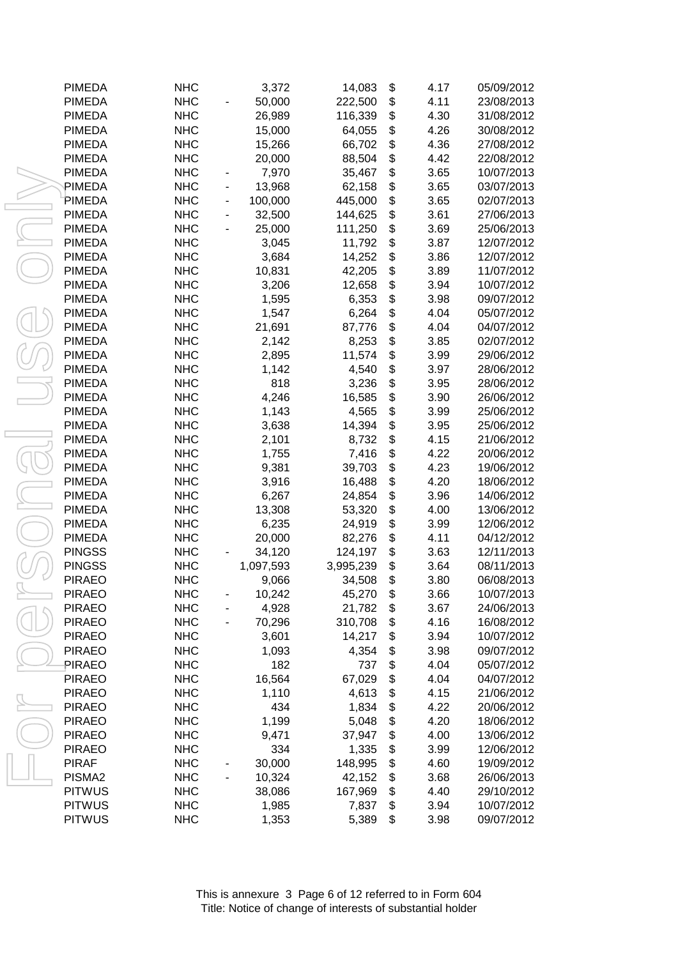| <b>PIMEDA</b>                  | <b>NHC</b> | 3,372     | 14,083    | \$<br>4.17 | 05/09/2012 |
|--------------------------------|------------|-----------|-----------|------------|------------|
| <b>PIMEDA</b>                  | <b>NHC</b> | 50,000    | 222,500   | \$<br>4.11 |            |
|                                |            |           | 116,339   | \$<br>4.30 | 23/08/2013 |
| <b>PIMEDA</b>                  | <b>NHC</b> | 26,989    |           | \$         | 31/08/2012 |
| <b>PIMEDA</b><br><b>PIMEDA</b> | <b>NHC</b> | 15,000    | 64,055    | 4.26       | 30/08/2012 |
|                                | <b>NHC</b> | 15,266    | 66,702    | \$<br>4.36 | 27/08/2012 |
| <b>PIMEDA</b>                  | <b>NHC</b> | 20,000    | 88,504    | \$<br>4.42 | 22/08/2012 |
| <b>PIMEDA</b>                  | <b>NHC</b> | 7,970     | 35,467    | \$<br>3.65 | 10/07/2013 |
| PIMEDA                         | <b>NHC</b> | 13,968    | 62,158    | \$<br>3.65 | 03/07/2013 |
| PIMEDA                         | <b>NHC</b> | 100,000   | 445,000   | \$<br>3.65 | 02/07/2013 |
| <b>PIMEDA</b>                  | <b>NHC</b> | 32,500    | 144,625   | \$<br>3.61 | 27/06/2013 |
| <b>PIMEDA</b>                  | <b>NHC</b> | 25,000    | 111,250   | \$<br>3.69 | 25/06/2013 |
| <b>PIMEDA</b>                  | <b>NHC</b> | 3,045     | 11,792    | \$<br>3.87 | 12/07/2012 |
| <b>PIMEDA</b>                  | <b>NHC</b> | 3,684     | 14,252    | \$<br>3.86 | 12/07/2012 |
| <b>PIMEDA</b>                  | <b>NHC</b> | 10,831    | 42,205    | \$<br>3.89 | 11/07/2012 |
| <b>PIMEDA</b>                  | <b>NHC</b> | 3,206     | 12,658    | \$<br>3.94 | 10/07/2012 |
| <b>PIMEDA</b>                  | <b>NHC</b> | 1,595     | 6,353     | \$<br>3.98 | 09/07/2012 |
| <b>PIMEDA</b>                  | <b>NHC</b> | 1,547     | 6,264     | \$<br>4.04 | 05/07/2012 |
| <b>PIMEDA</b>                  | <b>NHC</b> | 21,691    | 87,776    | \$<br>4.04 | 04/07/2012 |
| <b>PIMEDA</b>                  | <b>NHC</b> | 2,142     | 8,253     | \$<br>3.85 | 02/07/2012 |
| <b>PIMEDA</b>                  | <b>NHC</b> | 2,895     | 11,574    | \$<br>3.99 | 29/06/2012 |
| <b>PIMEDA</b>                  | <b>NHC</b> | 1,142     | 4,540     | \$<br>3.97 | 28/06/2012 |
| <b>PIMEDA</b>                  | <b>NHC</b> | 818       | 3,236     | \$<br>3.95 | 28/06/2012 |
| <b>PIMEDA</b>                  | <b>NHC</b> | 4,246     | 16,585    | \$<br>3.90 | 26/06/2012 |
| <b>PIMEDA</b>                  | <b>NHC</b> | 1,143     | 4,565     | \$<br>3.99 | 25/06/2012 |
| <b>PIMEDA</b>                  | <b>NHC</b> | 3,638     | 14,394    | \$<br>3.95 | 25/06/2012 |
| <b>PIMEDA</b>                  | <b>NHC</b> | 2,101     | 8,732     | \$<br>4.15 | 21/06/2012 |
| <b>PIMEDA</b>                  | <b>NHC</b> | 1,755     | 7,416     | \$<br>4.22 | 20/06/2012 |
| <b>PIMEDA</b>                  | <b>NHC</b> | 9,381     | 39,703    | \$<br>4.23 | 19/06/2012 |
| <b>PIMEDA</b>                  | <b>NHC</b> | 3,916     | 16,488    | \$<br>4.20 | 18/06/2012 |
| <b>PIMEDA</b>                  | <b>NHC</b> | 6,267     | 24,854    | \$<br>3.96 | 14/06/2012 |
| <b>PIMEDA</b>                  | <b>NHC</b> | 13,308    | 53,320    | \$<br>4.00 | 13/06/2012 |
| <b>PIMEDA</b>                  | <b>NHC</b> | 6,235     | 24,919    | \$<br>3.99 | 12/06/2012 |
| <b>PIMEDA</b>                  | <b>NHC</b> | 20,000    | 82,276    | \$<br>4.11 | 04/12/2012 |
|                                | <b>NHC</b> |           |           |            |            |
| <b>PINGSS</b>                  |            | 34,120    | 124,197   | \$<br>3.63 | 12/11/2013 |
| <b>PINGSS</b>                  | <b>NHC</b> | 1,097,593 | 3,995,239 | \$<br>3.64 | 08/11/2013 |
| <b>PIRAEO</b>                  | <b>NHC</b> | 9,066     | 34,508    | \$<br>3.80 | 06/08/2013 |
| <b>PIRAEO</b>                  | <b>NHC</b> | 10,242    | 45,270    | \$<br>3.66 | 10/07/2013 |
| <b>PIRAEO</b>                  | <b>NHC</b> | 4,928     | 21,782    | \$<br>3.67 | 24/06/2013 |
| <b>PIRAEO</b>                  | <b>NHC</b> | 70,296    | 310,708   | \$<br>4.16 | 16/08/2012 |
| <b>PIRAEO</b>                  | <b>NHC</b> | 3,601     | 14,217    | \$<br>3.94 | 10/07/2012 |
| <b>PIRAEO</b>                  | <b>NHC</b> | 1,093     | 4,354     | \$<br>3.98 | 09/07/2012 |
| PIRAEO                         | <b>NHC</b> | 182       | 737       | \$<br>4.04 | 05/07/2012 |
| <b>PIRAEO</b>                  | <b>NHC</b> | 16,564    | 67,029    | \$<br>4.04 | 04/07/2012 |
| <b>PIRAEO</b>                  | <b>NHC</b> | 1,110     | 4,613     | \$<br>4.15 | 21/06/2012 |
| <b>PIRAEO</b>                  | <b>NHC</b> | 434       | 1,834     | \$<br>4.22 | 20/06/2012 |
| <b>PIRAEO</b>                  | <b>NHC</b> | 1,199     | 5,048     | \$<br>4.20 | 18/06/2012 |
| <b>PIRAEO</b>                  | <b>NHC</b> | 9,471     | 37,947    | \$<br>4.00 | 13/06/2012 |
| <b>PIRAEO</b>                  | <b>NHC</b> | 334       | 1,335     | \$<br>3.99 | 12/06/2012 |
| <b>PIRAF</b>                   | <b>NHC</b> | 30,000    | 148,995   | \$<br>4.60 | 19/09/2012 |
| PISMA2                         | <b>NHC</b> | 10,324    | 42,152    | \$<br>3.68 | 26/06/2013 |
| <b>PITWUS</b>                  | <b>NHC</b> | 38,086    | 167,969   | \$<br>4.40 | 29/10/2012 |
| <b>PITWUS</b>                  | <b>NHC</b> | 1,985     | 7,837     | \$<br>3.94 | 10/07/2012 |
| <b>PITWUS</b>                  | <b>NHC</b> | 1,353     | 5,389     | \$<br>3.98 | 09/07/2012 |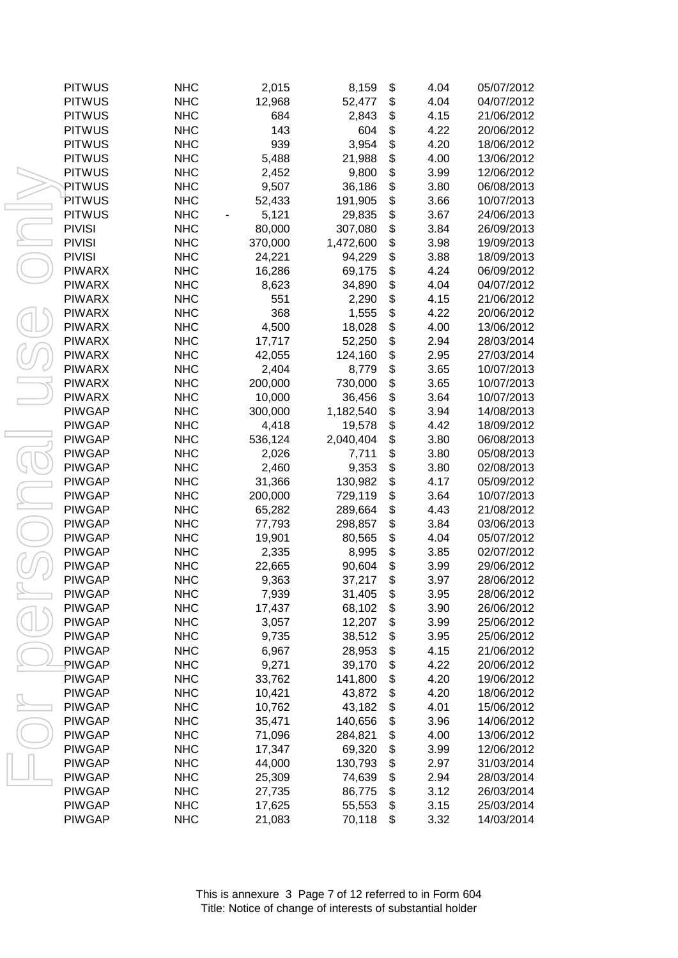| <b>PITWUS</b> | <b>NHC</b> | 2,015   | 8,159     | \$<br>4.04 | 05/07/2012 |
|---------------|------------|---------|-----------|------------|------------|
| <b>PITWUS</b> | <b>NHC</b> | 12,968  | 52,477    | \$<br>4.04 | 04/07/2012 |
| <b>PITWUS</b> | <b>NHC</b> | 684     | 2,843     | \$<br>4.15 | 21/06/2012 |
| <b>PITWUS</b> | <b>NHC</b> | 143     | 604       | \$<br>4.22 | 20/06/2012 |
| <b>PITWUS</b> | <b>NHC</b> | 939     | 3,954     | \$<br>4.20 | 18/06/2012 |
| <b>PITWUS</b> | <b>NHC</b> | 5,488   | 21,988    | \$<br>4.00 | 13/06/2012 |
| <b>PITWUS</b> | <b>NHC</b> | 2,452   | 9,800     | \$<br>3.99 | 12/06/2012 |
| PITWUS        | <b>NHC</b> | 9,507   | 36,186    | \$<br>3.80 | 06/08/2013 |
| PITWUS        | <b>NHC</b> | 52,433  | 191,905   | \$<br>3.66 | 10/07/2013 |
| <b>PITWUS</b> | <b>NHC</b> | 5,121   | 29,835    | \$<br>3.67 | 24/06/2013 |
| <b>PIVISI</b> | <b>NHC</b> | 80,000  | 307,080   | \$<br>3.84 | 26/09/2013 |
| <b>PIVISI</b> | <b>NHC</b> | 370,000 | 1,472,600 | \$<br>3.98 | 19/09/2013 |
| <b>PIVISI</b> | <b>NHC</b> | 24,221  | 94,229    | \$<br>3.88 | 18/09/2013 |
| <b>PIWARX</b> | <b>NHC</b> | 16,286  | 69,175    | \$<br>4.24 | 06/09/2012 |
| <b>PIWARX</b> | <b>NHC</b> | 8,623   | 34,890    | \$<br>4.04 | 04/07/2012 |
| <b>PIWARX</b> | <b>NHC</b> | 551     | 2,290     | \$<br>4.15 | 21/06/2012 |
| <b>PIWARX</b> | <b>NHC</b> | 368     | 1,555     | \$<br>4.22 | 20/06/2012 |
| <b>PIWARX</b> | <b>NHC</b> | 4,500   | 18,028    | \$<br>4.00 | 13/06/2012 |
| <b>PIWARX</b> | <b>NHC</b> | 17,717  | 52,250    | \$<br>2.94 | 28/03/2014 |
| <b>PIWARX</b> | <b>NHC</b> | 42,055  | 124,160   | \$<br>2.95 | 27/03/2014 |
| <b>PIWARX</b> | <b>NHC</b> | 2,404   | 8,779     | \$<br>3.65 | 10/07/2013 |
| <b>PIWARX</b> | <b>NHC</b> | 200,000 | 730,000   | \$<br>3.65 | 10/07/2013 |
| <b>PIWARX</b> | <b>NHC</b> | 10,000  | 36,456    | \$<br>3.64 | 10/07/2013 |
| <b>PIWGAP</b> | <b>NHC</b> | 300,000 | 1,182,540 | \$<br>3.94 | 14/08/2013 |
| <b>PIWGAP</b> | <b>NHC</b> | 4,418   | 19,578    | \$<br>4.42 | 18/09/2012 |
| <b>PIWGAP</b> | <b>NHC</b> | 536,124 | 2,040,404 | \$<br>3.80 | 06/08/2013 |
| <b>PIWGAP</b> | <b>NHC</b> | 2,026   | 7,711     | \$<br>3.80 | 05/08/2013 |
| <b>PIWGAP</b> | <b>NHC</b> | 2,460   | 9,353     | \$<br>3.80 | 02/08/2013 |
| <b>PIWGAP</b> | <b>NHC</b> | 31,366  | 130,982   | \$<br>4.17 | 05/09/2012 |
| <b>PIWGAP</b> | <b>NHC</b> | 200,000 | 729,119   | \$<br>3.64 | 10/07/2013 |
| <b>PIWGAP</b> | <b>NHC</b> | 65,282  | 289,664   | \$<br>4.43 | 21/08/2012 |
| <b>PIWGAP</b> | <b>NHC</b> | 77,793  | 298,857   | \$<br>3.84 | 03/06/2013 |
| <b>PIWGAP</b> | <b>NHC</b> | 19,901  | 80,565    | \$<br>4.04 | 05/07/2012 |
| <b>PIWGAP</b> | <b>NHC</b> | 2,335   | 8,995     | \$<br>3.85 | 02/07/2012 |
| <b>PIWGAP</b> | <b>NHC</b> | 22,665  | 90,604    | \$<br>3.99 | 29/06/2012 |
| <b>PIWGAP</b> | <b>NHC</b> | 9,363   | 37,217    | \$<br>3.97 | 28/06/2012 |
| <b>PIWGAP</b> | <b>NHC</b> | 7,939   | 31,405    | \$<br>3.95 | 28/06/2012 |
| <b>PIWGAP</b> | <b>NHC</b> | 17,437  | 68,102    | \$<br>3.90 | 26/06/2012 |
| <b>PIWGAP</b> | <b>NHC</b> | 3,057   | 12,207    | \$<br>3.99 | 25/06/2012 |
| <b>PIWGAP</b> | <b>NHC</b> | 9,735   | 38,512    | \$<br>3.95 | 25/06/2012 |
| <b>PIWGAP</b> | <b>NHC</b> | 6,967   | 28,953    | \$<br>4.15 | 21/06/2012 |
| PIWGAP        | <b>NHC</b> | 9,271   | 39,170    | \$<br>4.22 | 20/06/2012 |
| <b>PIWGAP</b> | <b>NHC</b> | 33,762  | 141,800   | \$<br>4.20 | 19/06/2012 |
| <b>PIWGAP</b> | <b>NHC</b> | 10,421  | 43,872    | \$<br>4.20 | 18/06/2012 |
| <b>PIWGAP</b> | <b>NHC</b> | 10,762  | 43,182    | \$<br>4.01 | 15/06/2012 |
| <b>PIWGAP</b> | <b>NHC</b> | 35,471  | 140,656   | \$<br>3.96 | 14/06/2012 |
| <b>PIWGAP</b> | <b>NHC</b> | 71,096  | 284,821   | \$<br>4.00 | 13/06/2012 |
| <b>PIWGAP</b> | <b>NHC</b> | 17,347  | 69,320    | \$<br>3.99 | 12/06/2012 |
| <b>PIWGAP</b> | <b>NHC</b> | 44,000  | 130,793   | \$<br>2.97 | 31/03/2014 |
| <b>PIWGAP</b> | <b>NHC</b> | 25,309  | 74,639    | \$<br>2.94 | 28/03/2014 |
| <b>PIWGAP</b> | <b>NHC</b> | 27,735  | 86,775    | \$<br>3.12 | 26/03/2014 |
| <b>PIWGAP</b> | <b>NHC</b> |         | 55,553    | \$<br>3.15 | 25/03/2014 |
| <b>PIWGAP</b> | <b>NHC</b> | 17,625  |           | \$         | 14/03/2014 |
|               |            | 21,083  | 70,118    | 3.32       |            |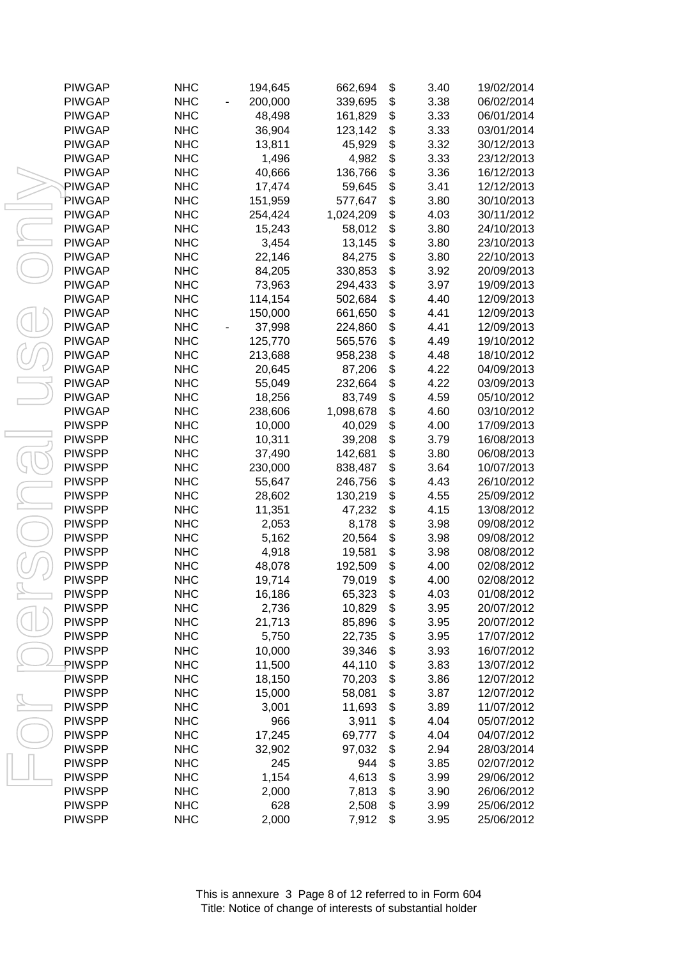| <b>PIWGAP</b> | <b>NHC</b> | 194,645 | 662,694   | \$<br>3.40 | 19/02/2014 |
|---------------|------------|---------|-----------|------------|------------|
| <b>PIWGAP</b> | <b>NHC</b> | 200,000 | 339,695   | \$<br>3.38 | 06/02/2014 |
| <b>PIWGAP</b> | <b>NHC</b> | 48,498  | 161,829   | \$<br>3.33 | 06/01/2014 |
| <b>PIWGAP</b> | <b>NHC</b> | 36,904  | 123,142   | \$<br>3.33 | 03/01/2014 |
| <b>PIWGAP</b> | <b>NHC</b> | 13,811  | 45,929    | \$<br>3.32 | 30/12/2013 |
| <b>PIWGAP</b> | <b>NHC</b> | 1,496   | 4,982     | \$<br>3.33 | 23/12/2013 |
| <b>PIWGAP</b> | <b>NHC</b> | 40,666  | 136,766   | \$<br>3.36 | 16/12/2013 |
| PIWGAP        | <b>NHC</b> | 17,474  | 59,645    | \$<br>3.41 | 12/12/2013 |
| <b>PIWGAP</b> | <b>NHC</b> | 151,959 | 577,647   | \$<br>3.80 | 30/10/2013 |
| <b>PIWGAP</b> | <b>NHC</b> | 254,424 | 1,024,209 | \$<br>4.03 | 30/11/2012 |
| <b>PIWGAP</b> | <b>NHC</b> | 15,243  | 58,012    | \$<br>3.80 | 24/10/2013 |
| <b>PIWGAP</b> | <b>NHC</b> | 3,454   | 13,145    | \$<br>3.80 | 23/10/2013 |
| <b>PIWGAP</b> | <b>NHC</b> | 22,146  | 84,275    | \$<br>3.80 | 22/10/2013 |
| <b>PIWGAP</b> | <b>NHC</b> | 84,205  | 330,853   | \$<br>3.92 | 20/09/2013 |
| <b>PIWGAP</b> | <b>NHC</b> | 73,963  | 294,433   | \$<br>3.97 | 19/09/2013 |
| <b>PIWGAP</b> | <b>NHC</b> | 114,154 | 502,684   | \$<br>4.40 | 12/09/2013 |
| <b>PIWGAP</b> | <b>NHC</b> | 150,000 | 661,650   | \$<br>4.41 | 12/09/2013 |
| <b>PIWGAP</b> | <b>NHC</b> | 37,998  | 224,860   | \$<br>4.41 | 12/09/2013 |
| <b>PIWGAP</b> | <b>NHC</b> | 125,770 | 565,576   | \$<br>4.49 | 19/10/2012 |
| <b>PIWGAP</b> | <b>NHC</b> | 213,688 | 958,238   | \$<br>4.48 | 18/10/2012 |
| <b>PIWGAP</b> | <b>NHC</b> | 20,645  | 87,206    | \$<br>4.22 | 04/09/2013 |
| <b>PIWGAP</b> | <b>NHC</b> | 55,049  | 232,664   | \$<br>4.22 | 03/09/2013 |
| <b>PIWGAP</b> | <b>NHC</b> | 18,256  | 83,749    | \$<br>4.59 | 05/10/2012 |
| <b>PIWGAP</b> | <b>NHC</b> | 238,606 | 1,098,678 | \$<br>4.60 | 03/10/2012 |
| <b>PIWSPP</b> | <b>NHC</b> | 10,000  | 40,029    | \$<br>4.00 | 17/09/2013 |
| <b>PIWSPP</b> | <b>NHC</b> | 10,311  | 39,208    | \$<br>3.79 | 16/08/2013 |
| <b>PIWSPP</b> | <b>NHC</b> | 37,490  | 142,681   | \$<br>3.80 | 06/08/2013 |
| <b>PIWSPP</b> | <b>NHC</b> | 230,000 | 838,487   | \$<br>3.64 | 10/07/2013 |
| <b>PIWSPP</b> | <b>NHC</b> | 55,647  | 246,756   | \$<br>4.43 | 26/10/2012 |
| <b>PIWSPP</b> | <b>NHC</b> | 28,602  | 130,219   | \$<br>4.55 | 25/09/2012 |
| <b>PIWSPP</b> | <b>NHC</b> | 11,351  | 47,232    | \$<br>4.15 | 13/08/2012 |
| <b>PIWSPP</b> | <b>NHC</b> | 2,053   | 8,178     | \$<br>3.98 | 09/08/2012 |
| <b>PIWSPP</b> | <b>NHC</b> | 5,162   | 20,564    | \$<br>3.98 | 09/08/2012 |
| <b>PIWSPP</b> | <b>NHC</b> | 4,918   | 19,581    | \$<br>3.98 | 08/08/2012 |
| <b>PIWSPP</b> | <b>NHC</b> | 48,078  | 192,509   | \$<br>4.00 | 02/08/2012 |
| <b>PIWSPP</b> | <b>NHC</b> | 19,714  | 79,019    | \$<br>4.00 | 02/08/2012 |
| <b>PIWSPP</b> | <b>NHC</b> | 16,186  | 65,323    | \$<br>4.03 | 01/08/2012 |
| <b>PIWSPP</b> | <b>NHC</b> | 2,736   | 10,829    | \$<br>3.95 | 20/07/2012 |
| <b>PIWSPP</b> | <b>NHC</b> | 21,713  | 85,896    | \$<br>3.95 | 20/07/2012 |
| <b>PIWSPP</b> | <b>NHC</b> |         | 22,735    | \$<br>3.95 | 17/07/2012 |
| <b>PIWSPP</b> |            | 5,750   |           | \$         | 16/07/2012 |
| PIWSPP        | <b>NHC</b> | 10,000  | 39,346    | 3.93       |            |
|               | <b>NHC</b> | 11,500  | 44,110    | \$<br>3.83 | 13/07/2012 |
| <b>PIWSPP</b> | <b>NHC</b> | 18,150  | 70,203    | \$<br>3.86 | 12/07/2012 |
| <b>PIWSPP</b> | <b>NHC</b> | 15,000  | 58,081    | \$<br>3.87 | 12/07/2012 |
| <b>PIWSPP</b> | <b>NHC</b> | 3,001   | 11,693    | \$<br>3.89 | 11/07/2012 |
| <b>PIWSPP</b> | <b>NHC</b> | 966     | 3,911     | \$<br>4.04 | 05/07/2012 |
| <b>PIWSPP</b> | <b>NHC</b> | 17,245  | 69,777    | \$<br>4.04 | 04/07/2012 |
| <b>PIWSPP</b> | <b>NHC</b> | 32,902  | 97,032    | \$<br>2.94 | 28/03/2014 |
| <b>PIWSPP</b> | <b>NHC</b> | 245     | 944       | \$<br>3.85 | 02/07/2012 |
| <b>PIWSPP</b> | <b>NHC</b> | 1,154   | 4,613     | \$<br>3.99 | 29/06/2012 |
| <b>PIWSPP</b> | <b>NHC</b> | 2,000   | 7,813     | \$<br>3.90 | 26/06/2012 |
| <b>PIWSPP</b> | <b>NHC</b> | 628     | 2,508     | \$<br>3.99 | 25/06/2012 |
| <b>PIWSPP</b> | <b>NHC</b> | 2,000   | 7,912     | \$<br>3.95 | 25/06/2012 |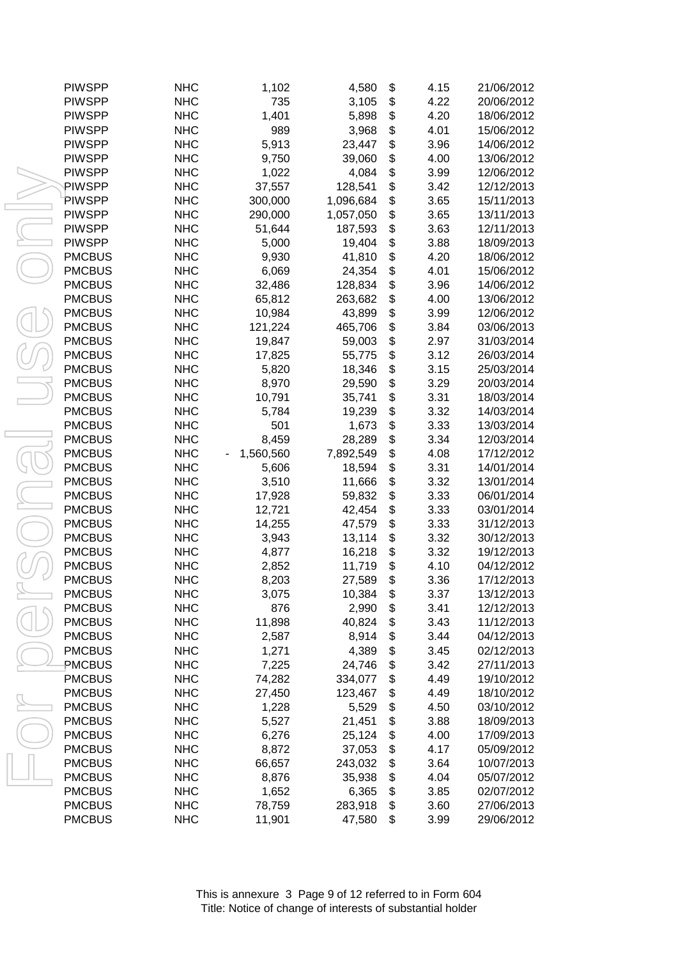| <b>PIWSPP</b> | <b>NHC</b> | 1,102     | 4,580     | \$<br>4.15 | 21/06/2012 |
|---------------|------------|-----------|-----------|------------|------------|
| <b>PIWSPP</b> | <b>NHC</b> | 735       | 3,105     | \$<br>4.22 | 20/06/2012 |
| <b>PIWSPP</b> | <b>NHC</b> | 1,401     | 5,898     | \$<br>4.20 | 18/06/2012 |
| <b>PIWSPP</b> | <b>NHC</b> | 989       | 3,968     | \$<br>4.01 | 15/06/2012 |
| <b>PIWSPP</b> | <b>NHC</b> | 5,913     | 23,447    | \$<br>3.96 | 14/06/2012 |
| <b>PIWSPP</b> | <b>NHC</b> | 9,750     | 39,060    | \$<br>4.00 | 13/06/2012 |
| <b>PIWSPP</b> | <b>NHC</b> | 1,022     | 4,084     | \$<br>3.99 | 12/06/2012 |
| PIWSPP        | <b>NHC</b> | 37,557    | 128,541   | \$<br>3.42 | 12/12/2013 |
| PIWSPP        | <b>NHC</b> | 300,000   | 1,096,684 | \$<br>3.65 | 15/11/2013 |
| <b>PIWSPP</b> | <b>NHC</b> | 290,000   | 1,057,050 | \$<br>3.65 | 13/11/2013 |
| <b>PIWSPP</b> | <b>NHC</b> | 51,644    | 187,593   | \$<br>3.63 | 12/11/2013 |
| <b>PIWSPP</b> | <b>NHC</b> | 5,000     | 19,404    | \$<br>3.88 | 18/09/2013 |
| <b>PMCBUS</b> | <b>NHC</b> | 9,930     | 41,810    | \$<br>4.20 | 18/06/2012 |
| <b>PMCBUS</b> | <b>NHC</b> | 6,069     | 24,354    | \$<br>4.01 | 15/06/2012 |
| <b>PMCBUS</b> | <b>NHC</b> | 32,486    | 128,834   | \$<br>3.96 | 14/06/2012 |
| <b>PMCBUS</b> | <b>NHC</b> | 65,812    | 263,682   | \$<br>4.00 | 13/06/2012 |
| <b>PMCBUS</b> | <b>NHC</b> | 10,984    | 43,899    | \$<br>3.99 | 12/06/2012 |
| <b>PMCBUS</b> | <b>NHC</b> | 121,224   | 465,706   | \$<br>3.84 | 03/06/2013 |
| <b>PMCBUS</b> | <b>NHC</b> | 19,847    | 59,003    | \$<br>2.97 | 31/03/2014 |
| <b>PMCBUS</b> | <b>NHC</b> | 17,825    | 55,775    | \$<br>3.12 | 26/03/2014 |
| <b>PMCBUS</b> | <b>NHC</b> | 5,820     | 18,346    | \$<br>3.15 | 25/03/2014 |
| <b>PMCBUS</b> | <b>NHC</b> | 8,970     | 29,590    | \$<br>3.29 | 20/03/2014 |
| <b>PMCBUS</b> | <b>NHC</b> | 10,791    | 35,741    | \$<br>3.31 | 18/03/2014 |
| <b>PMCBUS</b> | <b>NHC</b> | 5,784     | 19,239    | \$<br>3.32 | 14/03/2014 |
| <b>PMCBUS</b> | <b>NHC</b> | 501       | 1,673     | \$<br>3.33 | 13/03/2014 |
| <b>PMCBUS</b> | <b>NHC</b> | 8,459     | 28,289    | \$<br>3.34 | 12/03/2014 |
| <b>PMCBUS</b> | <b>NHC</b> | 1,560,560 | 7,892,549 | \$<br>4.08 | 17/12/2012 |
| <b>PMCBUS</b> | <b>NHC</b> | 5,606     | 18,594    | \$<br>3.31 | 14/01/2014 |
| <b>PMCBUS</b> | <b>NHC</b> | 3,510     | 11,666    | \$<br>3.32 | 13/01/2014 |
| <b>PMCBUS</b> | <b>NHC</b> | 17,928    | 59,832    | \$<br>3.33 | 06/01/2014 |
| <b>PMCBUS</b> | <b>NHC</b> | 12,721    | 42,454    | \$<br>3.33 | 03/01/2014 |
| <b>PMCBUS</b> | <b>NHC</b> | 14,255    | 47,579    | \$<br>3.33 | 31/12/2013 |
| <b>PMCBUS</b> | <b>NHC</b> | 3,943     | 13,114    | \$<br>3.32 | 30/12/2013 |
| <b>PMCBUS</b> | <b>NHC</b> | 4,877     | 16,218    | \$<br>3.32 | 19/12/2013 |
| <b>PMCBUS</b> | <b>NHC</b> | 2,852     | 11,719    | \$<br>4.10 | 04/12/2012 |
| <b>PMCBUS</b> | <b>NHC</b> | 8,203     | 27,589    | \$<br>3.36 | 17/12/2013 |
| <b>PMCBUS</b> | <b>NHC</b> | 3,075     | 10,384    | \$<br>3.37 | 13/12/2013 |
| <b>PMCBUS</b> | <b>NHC</b> | 876       | 2,990     | \$<br>3.41 | 12/12/2013 |
| <b>PMCBUS</b> | <b>NHC</b> | 11,898    | 40,824    | \$<br>3.43 | 11/12/2013 |
| <b>PMCBUS</b> | <b>NHC</b> | 2,587     | 8,914     | \$<br>3.44 | 04/12/2013 |
| <b>PMCBUS</b> | <b>NHC</b> | 1,271     | 4,389     | \$<br>3.45 | 02/12/2013 |
| PMCBUS        | <b>NHC</b> | 7,225     | 24,746    | \$<br>3.42 | 27/11/2013 |
| <b>PMCBUS</b> | <b>NHC</b> | 74,282    | 334,077   | \$<br>4.49 | 19/10/2012 |
| <b>PMCBUS</b> | <b>NHC</b> | 27,450    | 123,467   | \$<br>4.49 | 18/10/2012 |
| <b>PMCBUS</b> | <b>NHC</b> | 1,228     | 5,529     | \$<br>4.50 | 03/10/2012 |
| <b>PMCBUS</b> | <b>NHC</b> | 5,527     | 21,451    | \$<br>3.88 | 18/09/2013 |
| <b>PMCBUS</b> | <b>NHC</b> | 6,276     | 25,124    | \$<br>4.00 | 17/09/2013 |
| <b>PMCBUS</b> | <b>NHC</b> | 8,872     | 37,053    | \$<br>4.17 | 05/09/2012 |
| <b>PMCBUS</b> | <b>NHC</b> | 66,657    | 243,032   | \$<br>3.64 | 10/07/2013 |
| <b>PMCBUS</b> | <b>NHC</b> | 8,876     | 35,938    | \$<br>4.04 | 05/07/2012 |
| <b>PMCBUS</b> | <b>NHC</b> | 1,652     | 6,365     | \$<br>3.85 | 02/07/2012 |
| <b>PMCBUS</b> | <b>NHC</b> | 78,759    | 283,918   | \$<br>3.60 | 27/06/2013 |
| <b>PMCBUS</b> | <b>NHC</b> | 11,901    | 47,580    | \$<br>3.99 | 29/06/2012 |
|               |            |           |           |            |            |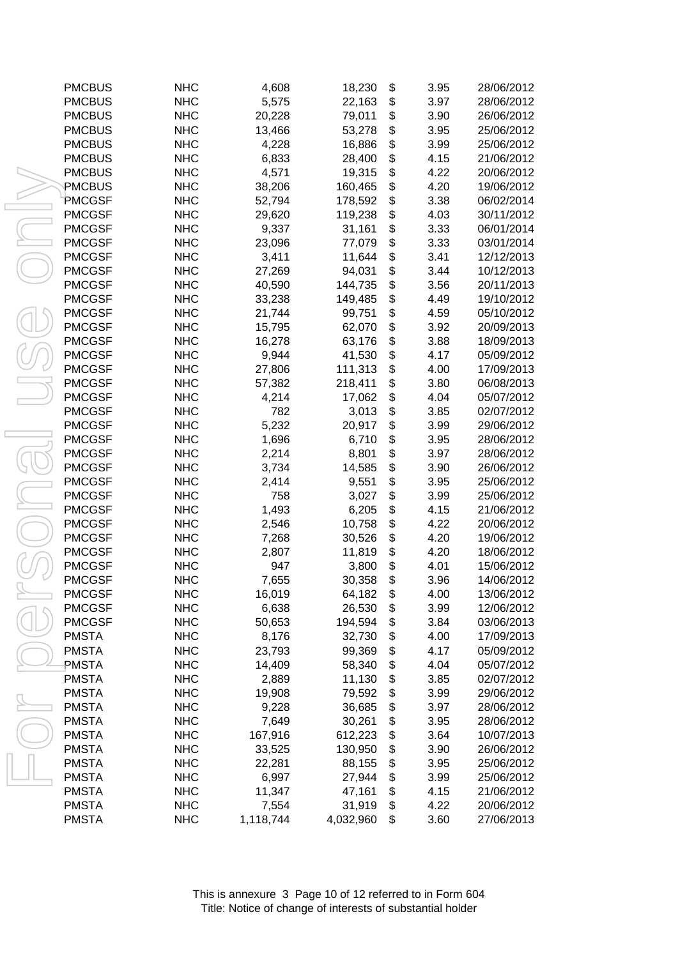| <b>PMCBUS</b> | <b>NHC</b> | 4,608     | 18,230    | \$<br>3.95 | 28/06/2012 |
|---------------|------------|-----------|-----------|------------|------------|
| <b>PMCBUS</b> | <b>NHC</b> | 5,575     | 22,163    | \$<br>3.97 | 28/06/2012 |
| <b>PMCBUS</b> | <b>NHC</b> | 20,228    | 79,011    | \$<br>3.90 | 26/06/2012 |
| <b>PMCBUS</b> | <b>NHC</b> | 13,466    | 53,278    | \$<br>3.95 | 25/06/2012 |
| <b>PMCBUS</b> | <b>NHC</b> | 4,228     | 16,886    | \$<br>3.99 | 25/06/2012 |
| <b>PMCBUS</b> | <b>NHC</b> | 6,833     | 28,400    | \$<br>4.15 | 21/06/2012 |
| <b>PMCBUS</b> | <b>NHC</b> | 4,571     | 19,315    | \$<br>4.22 | 20/06/2012 |
| PMCBUS        | <b>NHC</b> | 38,206    | 160,465   | \$<br>4.20 | 19/06/2012 |
| <b>PMCGSF</b> | <b>NHC</b> | 52,794    | 178,592   | \$<br>3.38 | 06/02/2014 |
| <b>PMCGSF</b> | <b>NHC</b> | 29,620    | 119,238   | \$<br>4.03 | 30/11/2012 |
| <b>PMCGSF</b> | <b>NHC</b> | 9,337     | 31,161    | \$<br>3.33 | 06/01/2014 |
| <b>PMCGSF</b> | <b>NHC</b> | 23,096    | 77,079    | \$<br>3.33 | 03/01/2014 |
| <b>PMCGSF</b> | <b>NHC</b> | 3,411     | 11,644    | \$<br>3.41 | 12/12/2013 |
| <b>PMCGSF</b> | <b>NHC</b> | 27,269    | 94,031    | \$<br>3.44 | 10/12/2013 |
| <b>PMCGSF</b> | <b>NHC</b> | 40,590    | 144,735   | \$<br>3.56 | 20/11/2013 |
| <b>PMCGSF</b> | <b>NHC</b> | 33,238    | 149,485   | \$<br>4.49 | 19/10/2012 |
| <b>PMCGSF</b> | <b>NHC</b> | 21,744    | 99,751    | \$<br>4.59 | 05/10/2012 |
| <b>PMCGSF</b> | <b>NHC</b> | 15,795    | 62,070    | \$<br>3.92 | 20/09/2013 |
| <b>PMCGSF</b> | <b>NHC</b> | 16,278    | 63,176    | \$<br>3.88 | 18/09/2013 |
| <b>PMCGSF</b> | <b>NHC</b> | 9,944     | 41,530    | \$<br>4.17 | 05/09/2012 |
| <b>PMCGSF</b> | <b>NHC</b> | 27,806    | 111,313   | \$<br>4.00 | 17/09/2013 |
| <b>PMCGSF</b> | <b>NHC</b> | 57,382    | 218,411   | \$<br>3.80 | 06/08/2013 |
| <b>PMCGSF</b> | <b>NHC</b> | 4,214     | 17,062    | \$<br>4.04 | 05/07/2012 |
| <b>PMCGSF</b> | <b>NHC</b> | 782       | 3,013     | \$<br>3.85 | 02/07/2012 |
| <b>PMCGSF</b> | <b>NHC</b> | 5,232     | 20,917    | \$<br>3.99 | 29/06/2012 |
| <b>PMCGSF</b> | <b>NHC</b> | 1,696     | 6,710     | \$<br>3.95 | 28/06/2012 |
| <b>PMCGSF</b> | <b>NHC</b> | 2,214     | 8,801     | \$<br>3.97 | 28/06/2012 |
| <b>PMCGSF</b> | <b>NHC</b> | 3,734     | 14,585    | \$<br>3.90 | 26/06/2012 |
| <b>PMCGSF</b> | <b>NHC</b> | 2,414     | 9,551     | \$<br>3.95 | 25/06/2012 |
| <b>PMCGSF</b> | <b>NHC</b> | 758       | 3,027     | \$<br>3.99 | 25/06/2012 |
| <b>PMCGSF</b> | <b>NHC</b> | 1,493     | 6,205     | \$<br>4.15 | 21/06/2012 |
| <b>PMCGSF</b> | <b>NHC</b> | 2,546     | 10,758    | \$<br>4.22 | 20/06/2012 |
| <b>PMCGSF</b> | <b>NHC</b> | 7,268     | 30,526    | \$<br>4.20 | 19/06/2012 |
| <b>PMCGSF</b> | <b>NHC</b> | 2,807     | 11,819    | \$<br>4.20 | 18/06/2012 |
| <b>PMCGSF</b> | <b>NHC</b> | 947       | 3,800     | \$<br>4.01 | 15/06/2012 |
| <b>PMCGSF</b> | <b>NHC</b> | 7,655     | 30,358    | \$<br>3.96 | 14/06/2012 |
| <b>PMCGSF</b> | <b>NHC</b> | 16,019    | 64,182    | \$<br>4.00 | 13/06/2012 |
| <b>PMCGSF</b> | <b>NHC</b> | 6,638     | 26,530    | \$<br>3.99 | 12/06/2012 |
| <b>PMCGSF</b> | <b>NHC</b> | 50,653    | 194,594   | \$<br>3.84 | 03/06/2013 |
| <b>PMSTA</b>  | <b>NHC</b> | 8,176     | 32,730    | \$<br>4.00 | 17/09/2013 |
| <b>PMSTA</b>  | <b>NHC</b> | 23,793    | 99,369    | \$<br>4.17 | 05/09/2012 |
| PMSTA         | <b>NHC</b> | 14,409    | 58,340    | \$<br>4.04 | 05/07/2012 |
| <b>PMSTA</b>  | <b>NHC</b> | 2,889     | 11,130    | \$<br>3.85 | 02/07/2012 |
| <b>PMSTA</b>  | <b>NHC</b> | 19,908    | 79,592    | \$<br>3.99 | 29/06/2012 |
| <b>PMSTA</b>  | <b>NHC</b> | 9,228     | 36,685    | \$<br>3.97 | 28/06/2012 |
| <b>PMSTA</b>  | <b>NHC</b> | 7,649     | 30,261    | \$<br>3.95 | 28/06/2012 |
| <b>PMSTA</b>  | <b>NHC</b> | 167,916   | 612,223   | \$<br>3.64 | 10/07/2013 |
| <b>PMSTA</b>  | <b>NHC</b> | 33,525    | 130,950   | \$<br>3.90 | 26/06/2012 |
| <b>PMSTA</b>  | <b>NHC</b> | 22,281    | 88,155    | \$<br>3.95 | 25/06/2012 |
| <b>PMSTA</b>  | <b>NHC</b> | 6,997     | 27,944    | \$<br>3.99 | 25/06/2012 |
| <b>PMSTA</b>  | <b>NHC</b> | 11,347    | 47,161    | \$<br>4.15 | 21/06/2012 |
| <b>PMSTA</b>  | <b>NHC</b> | 7,554     | 31,919    | \$<br>4.22 | 20/06/2012 |
| <b>PMSTA</b>  | <b>NHC</b> | 1,118,744 | 4,032,960 | \$<br>3.60 | 27/06/2013 |
|               |            |           |           |            |            |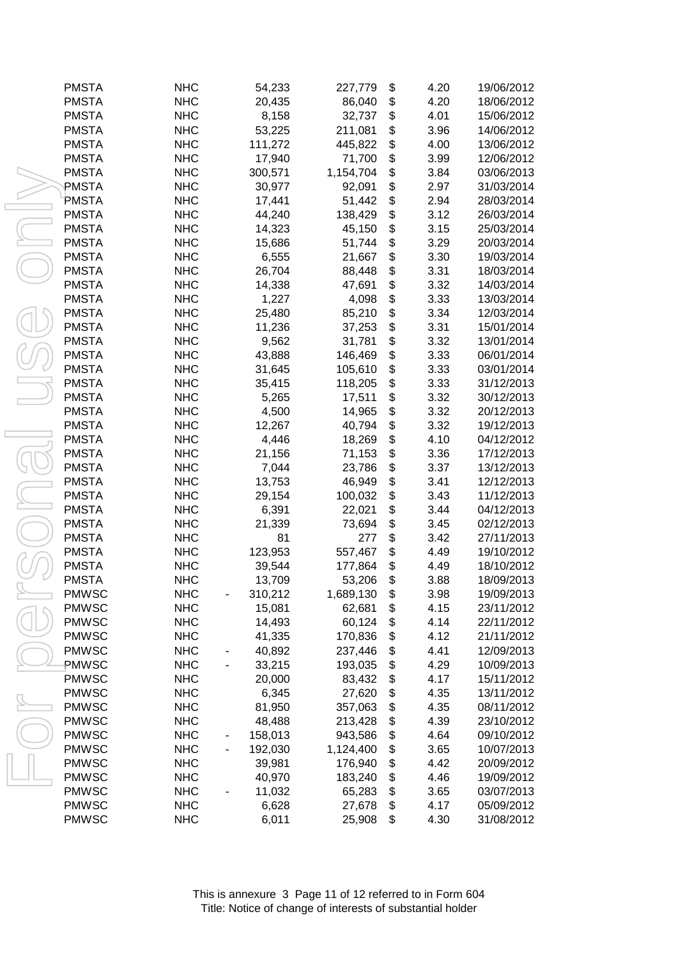| <b>PMSTA</b> | <b>NHC</b> | 54,233           | 227,779           | \$<br>4.20   | 19/06/2012 |
|--------------|------------|------------------|-------------------|--------------|------------|
| <b>PMSTA</b> | <b>NHC</b> | 20,435           | 86,040            | \$<br>4.20   | 18/06/2012 |
| <b>PMSTA</b> | <b>NHC</b> | 8,158            | 32,737            | \$<br>4.01   | 15/06/2012 |
| <b>PMSTA</b> | <b>NHC</b> | 53,225           | 211,081           | \$<br>3.96   | 14/06/2012 |
| <b>PMSTA</b> | <b>NHC</b> | 111,272          | 445,822           | \$<br>4.00   | 13/06/2012 |
| <b>PMSTA</b> | <b>NHC</b> | 17,940           | 71,700            | \$<br>3.99   | 12/06/2012 |
| <b>PMSTA</b> | <b>NHC</b> | 300,571          | 1,154,704         | \$<br>3.84   | 03/06/2013 |
| PMSTA        | <b>NHC</b> | 30,977           | 92,091            | \$<br>2.97   | 31/03/2014 |
| PMSTA        | <b>NHC</b> | 17,441           | 51,442            | \$<br>2.94   | 28/03/2014 |
| <b>PMSTA</b> | <b>NHC</b> | 44,240           | 138,429           | \$<br>3.12   | 26/03/2014 |
| <b>PMSTA</b> | <b>NHC</b> | 14,323           | 45,150            | \$<br>3.15   | 25/03/2014 |
| <b>PMSTA</b> | <b>NHC</b> | 15,686           | 51,744            | \$<br>3.29   | 20/03/2014 |
| <b>PMSTA</b> | <b>NHC</b> | 6,555            | 21,667            | \$<br>3.30   | 19/03/2014 |
| <b>PMSTA</b> | <b>NHC</b> | 26,704           | 88,448            | \$<br>3.31   | 18/03/2014 |
| <b>PMSTA</b> | <b>NHC</b> | 14,338           | 47,691            | \$<br>3.32   | 14/03/2014 |
| <b>PMSTA</b> | <b>NHC</b> | 1,227            | 4,098             | \$<br>3.33   | 13/03/2014 |
| <b>PMSTA</b> | <b>NHC</b> | 25,480           | 85,210            | \$<br>3.34   | 12/03/2014 |
| <b>PMSTA</b> | <b>NHC</b> | 11,236           | 37,253            | \$<br>3.31   | 15/01/2014 |
| <b>PMSTA</b> | <b>NHC</b> | 9,562            | 31,781            | \$<br>3.32   | 13/01/2014 |
| <b>PMSTA</b> | <b>NHC</b> | 43,888           | 146,469           | \$<br>3.33   | 06/01/2014 |
| <b>PMSTA</b> | <b>NHC</b> | 31,645           | 105,610           | \$<br>3.33   | 03/01/2014 |
| <b>PMSTA</b> | <b>NHC</b> | 35,415           | 118,205           | \$<br>3.33   | 31/12/2013 |
| <b>PMSTA</b> | <b>NHC</b> | 5,265            | 17,511            | \$<br>3.32   | 30/12/2013 |
| <b>PMSTA</b> | <b>NHC</b> | 4,500            | 14,965            | \$<br>3.32   | 20/12/2013 |
| <b>PMSTA</b> | <b>NHC</b> | 12,267           | 40,794            | \$<br>3.32   | 19/12/2013 |
| <b>PMSTA</b> | <b>NHC</b> | 4,446            | 18,269            | \$<br>4.10   | 04/12/2012 |
| <b>PMSTA</b> | <b>NHC</b> | 21,156           | 71,153            | \$<br>3.36   | 17/12/2013 |
| <b>PMSTA</b> | <b>NHC</b> | 7,044            | 23,786            | \$<br>3.37   | 13/12/2013 |
| <b>PMSTA</b> | <b>NHC</b> | 13,753           | 46,949            | \$<br>3.41   | 12/12/2013 |
| <b>PMSTA</b> | <b>NHC</b> | 29,154           | 100,032           | \$<br>3.43   | 11/12/2013 |
| <b>PMSTA</b> | <b>NHC</b> | 6,391            | 22,021            | \$<br>3.44   | 04/12/2013 |
| <b>PMSTA</b> | <b>NHC</b> | 21,339           | 73,694            | \$<br>3.45   | 02/12/2013 |
| <b>PMSTA</b> | <b>NHC</b> | 81               | 277               | \$<br>3.42   | 27/11/2013 |
| <b>PMSTA</b> | <b>NHC</b> | 123,953          | 557,467           | \$<br>4.49   | 19/10/2012 |
| <b>PMSTA</b> | <b>NHC</b> | 39,544           | 177,864           | \$<br>4.49   | 18/10/2012 |
| <b>PMSTA</b> | <b>NHC</b> | 13,709           | 53,206            | \$<br>3.88   | 18/09/2013 |
| <b>PMWSC</b> | <b>NHC</b> | 310,212          | 1,689,130         | \$<br>3.98   | 19/09/2013 |
| <b>PMWSC</b> | <b>NHC</b> | 15,081           | 62,681            | \$<br>4.15   | 23/11/2012 |
| <b>PMWSC</b> | <b>NHC</b> | 14,493           | 60,124            | \$<br>4.14   | 22/11/2012 |
| <b>PMWSC</b> | <b>NHC</b> | 41,335           | 170,836           | \$<br>4.12   | 21/11/2012 |
| <b>PMWSC</b> | <b>NHC</b> | 40,892           | 237,446           | \$<br>4.41   | 12/09/2013 |
| PMWSC        | <b>NHC</b> |                  |                   | \$           | 10/09/2013 |
| <b>PMWSC</b> | <b>NHC</b> | 33,215<br>20,000 | 193,035<br>83,432 | 4.29<br>4.17 | 15/11/2012 |
|              | <b>NHC</b> |                  |                   | \$           | 13/11/2012 |
| <b>PMWSC</b> |            | 6,345            | 27,620            | \$<br>4.35   |            |
| <b>PMWSC</b> | <b>NHC</b> | 81,950           | 357,063           | \$<br>4.35   | 08/11/2012 |
| <b>PMWSC</b> | <b>NHC</b> | 48,488           | 213,428           | \$<br>4.39   | 23/10/2012 |
| <b>PMWSC</b> | <b>NHC</b> | 158,013          | 943,586           | \$<br>4.64   | 09/10/2012 |
| <b>PMWSC</b> | <b>NHC</b> | 192,030          | 1,124,400         | \$<br>3.65   | 10/07/2013 |
| <b>PMWSC</b> | <b>NHC</b> | 39,981           | 176,940           | \$<br>4.42   | 20/09/2012 |
| <b>PMWSC</b> | <b>NHC</b> | 40,970           | 183,240           | \$<br>4.46   | 19/09/2012 |
| <b>PMWSC</b> | <b>NHC</b> | 11,032           | 65,283            | \$<br>3.65   | 03/07/2013 |
| <b>PMWSC</b> | <b>NHC</b> | 6,628            | 27,678            | \$<br>4.17   | 05/09/2012 |
| <b>PMWSC</b> | <b>NHC</b> | 6,011            | 25,908            | \$<br>4.30   | 31/08/2012 |